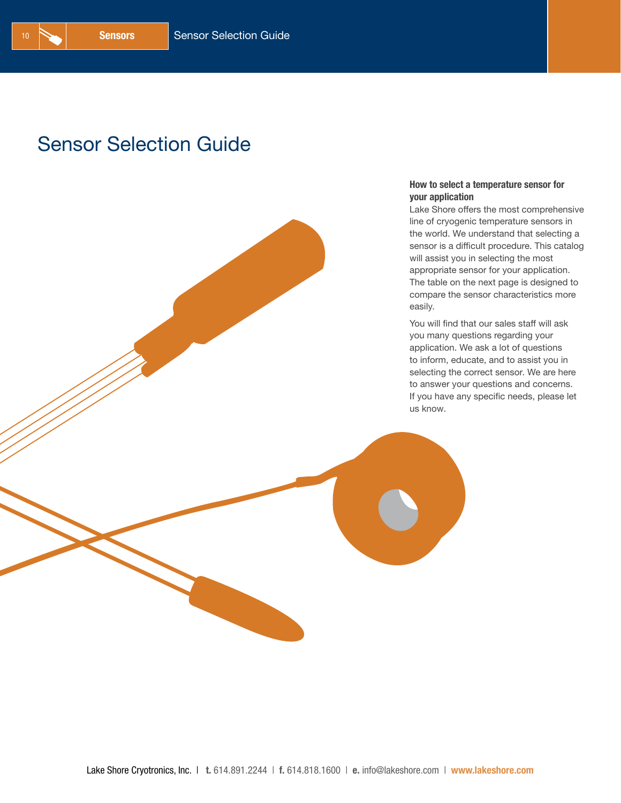## Sensor Selection Guide

#### How to select a temperature sensor for your application

Lake Shore offers the most comprehensive line of cryogenic temperature sensors in the world. We understand that selecting a sensor is a difficult procedure. This catalog will assist you in selecting the most appropriate sensor for your application. The table on the next page is designed to compare the sensor characteristics more easily.

You will find that our sales staff will ask you many questions regarding your application. We ask a lot of questions to inform, educate, and to assist you in selecting the correct sensor. We are here to answer your questions and concerns. If you have any specific needs, please let us know.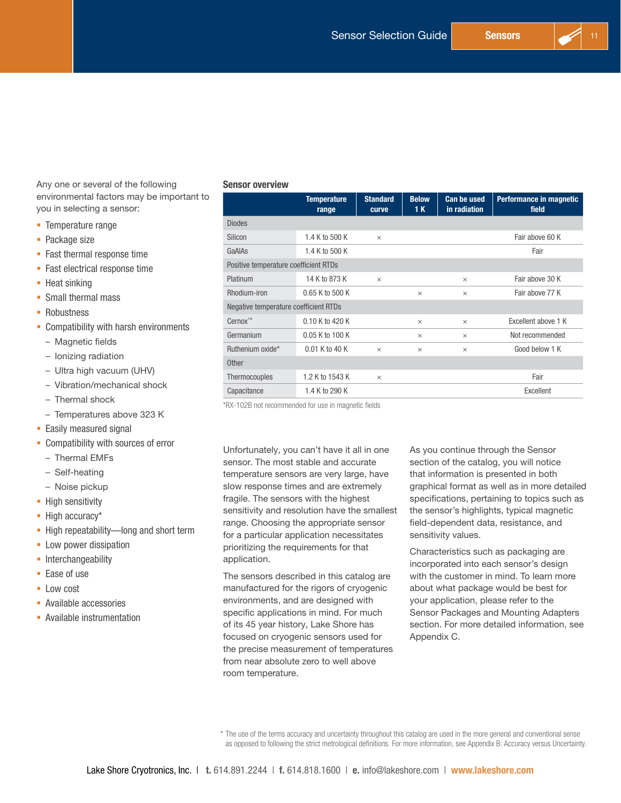

Any one or several of the following environmental factors may be important to you in selecting a sensor:

- **Temperature range**
- Package size
- **Fast thermal response time**
- **Fast electrical response time**
- Heat sinking
- Small thermal mass
- **Robustness**
- **-** Compatibility with harsh environments
	- Magnetic fields
	- Ionizing radiation
	- Ultra high vacuum (UHV)
	- Vibration/mechanical shock
	- Thermal shock
	- Temperatures above 323 K
- **Easily measured signal**
- **-** Compatibility with sources of error
	- Thermal EMFs
	- Self-heating
	- Noise pickup
- **High sensitivity**
- High accuracy\*
- **High repeatability—long and short term**
- **-** Low power dissipation
- **Interchangeability**
- Ease of use
- **Low cost**
- Available accessories
- **-** Available instrumentation

#### Sensor overview

|                                       | <b>Temperature</b><br>range | <b>Standard</b><br>curve | <b>Below</b><br>1 K | <b>Can be used</b><br>in radiation | Performance in magnetic<br>field |
|---------------------------------------|-----------------------------|--------------------------|---------------------|------------------------------------|----------------------------------|
| <b>Diodes</b>                         |                             |                          |                     |                                    |                                  |
| Silicon                               | 1.4 K to 500 K              | $\times$                 |                     |                                    | Fair above 60 K                  |
| GaAIAs                                | 1.4 K to 500 K              |                          |                     |                                    | Fair                             |
| Positive temperature coefficient RTDs |                             |                          |                     |                                    |                                  |
| Platinum                              | 14 K to 873 K               | $\times$                 |                     | $\times$                           | Fair above 30 K                  |
| Rhodium-iron                          | 0.65 K to 500 K             |                          | $\times$            | $\times$                           | Fair above 77 K                  |
| Negative temperature coefficient RTDs |                             |                          |                     |                                    |                                  |
| Cernox™                               | 0.10 K to 420 K             |                          | $\times$            | $\times$                           | Excellent above 1 K              |
| Germanium                             | 0.05 K to 100 K             |                          | $\times$            | $\times$                           | Not recommended                  |
| Ruthenium oxide*                      | $0.01$ K to 40 K            | $\times$                 | $\times$            | $\times$                           | Good below 1 K                   |
| <b>Other</b>                          |                             |                          |                     |                                    |                                  |
| <b>Thermocouples</b>                  | 1.2 K to 1543 K             | $\times$                 |                     |                                    | Fair                             |
| Capacitance                           | 1.4 K to 290 K              |                          |                     |                                    | Excellent                        |

\*RX-102B not recommended for use in magnetic fields

Unfortunately, you can't have it all in one sensor. The most stable and accurate temperature sensors are very large, have slow response times and are extremely fragile. The sensors with the highest sensitivity and resolution have the smallest range. Choosing the appropriate sensor for a particular application necessitates prioritizing the requirements for that application.

The sensors described in this catalog are manufactured for the rigors of cryogenic environments, and are designed with specific applications in mind. For much of its 45 year history, Lake Shore has focused on cryogenic sensors used for the precise measurement of temperatures from near absolute zero to well above room temperature.

As you continue through the Sensor section of the catalog, you will notice that information is presented in both graphical format as well as in more detailed specifications, pertaining to topics such as the sensor's highlights, typical magnetic field-dependent data, resistance, and sensitivity values.

Characteristics such as packaging are incorporated into each sensor's design with the customer in mind. To learn more about what package would be best for your application, please refer to the Sensor Packages and Mounting Adapters section. For more detailed information, see Appendix C.

<sup>\*</sup> The use of the terms accuracy and uncertainty throughout this catalog are used in the more general and conventional sense as opposed to following the strict metrological definitions. For more information, see Appendix B: Accuracy versus Uncertainty.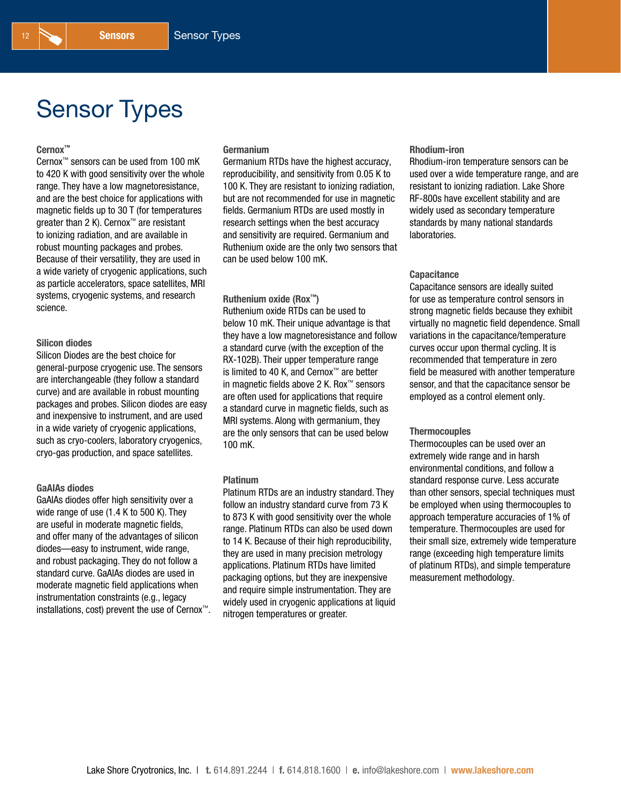# Sensor Types

#### Cernox™

Cernox™ sensors can be used from 100 mK to 420 K with good sensitivity over the whole range. They have a low magnetoresistance, and are the best choice for applications with magnetic fields up to 30 T (for temperatures greater than 2 K). Cernox<sup>™</sup> are resistant to ionizing radiation, and are available in robust mounting packages and probes. Because of their versatility, they are used in a wide variety of cryogenic applications, such as particle accelerators, space satellites, MRI systems, cryogenic systems, and research science.

#### Silicon diodes

Silicon Diodes are the best choice for general-purpose cryogenic use. The sensors are interchangeable (they follow a standard curve) and are available in robust mounting packages and probes. Silicon diodes are easy and inexpensive to instrument, and are used in a wide variety of cryogenic applications, such as cryo-coolers, laboratory cryogenics, cryo-gas production, and space satellites.

#### GaAlAs diodes

GaAlAs diodes offer high sensitivity over a wide range of use (1.4 K to 500 K). They are useful in moderate magnetic fields, and offer many of the advantages of silicon diodes—easy to instrument, wide range, and robust packaging. They do not follow a standard curve. GaAlAs diodes are used in moderate magnetic field applications when instrumentation constraints (e.g., legacy installations, cost) prevent the use of Cernox™.

### Germanium

Germanium RTDs have the highest accuracy, reproducibility, and sensitivity from 0.05 K to 100 K. They are resistant to ionizing radiation, but are not recommended for use in magnetic fields. Germanium RTDs are used mostly in research settings when the best accuracy and sensitivity are required. Germanium and Ruthenium oxide are the only two sensors that can be used below 100 mK.

#### Ruthenium oxide (Rox™)

Ruthenium oxide RTDs can be used to below 10 mK. Their unique advantage is that they have a low magnetoresistance and follow a standard curve (with the exception of the RX-102B). Their upper temperature range is limited to 40 K, and Cernox™ are better in magnetic fields above 2 K. Rox™ sensors are often used for applications that require a standard curve in magnetic fields, such as MRI systems. Along with germanium, they are the only sensors that can be used below 100 mK.

#### Platinum

Platinum RTDs are an industry standard. They follow an industry standard curve from 73 K to 873 K with good sensitivity over the whole range. Platinum RTDs can also be used down to 14 K. Because of their high reproducibility, they are used in many precision metrology applications. Platinum RTDs have limited packaging options, but they are inexpensive and require simple instrumentation. They are widely used in cryogenic applications at liquid nitrogen temperatures or greater.

#### Rhodium-iron

Rhodium-iron temperature sensors can be used over a wide temperature range, and are resistant to ionizing radiation. Lake Shore RF-800s have excellent stability and are widely used as secondary temperature standards by many national standards laboratories.

#### **Capacitance**

Capacitance sensors are ideally suited for use as temperature control sensors in strong magnetic fields because they exhibit virtually no magnetic field dependence. Small variations in the capacitance/temperature curves occur upon thermal cycling. It is recommended that temperature in zero field be measured with another temperature sensor, and that the capacitance sensor be employed as a control element only.

#### **Thermocouples**

Thermocouples can be used over an extremely wide range and in harsh environmental conditions, and follow a standard response curve. Less accurate than other sensors, special techniques must be employed when using thermocouples to approach temperature accuracies of 1% of temperature. Thermocouples are used for their small size, extremely wide temperature range (exceeding high temperature limits of platinum RTDs), and simple temperature measurement methodology.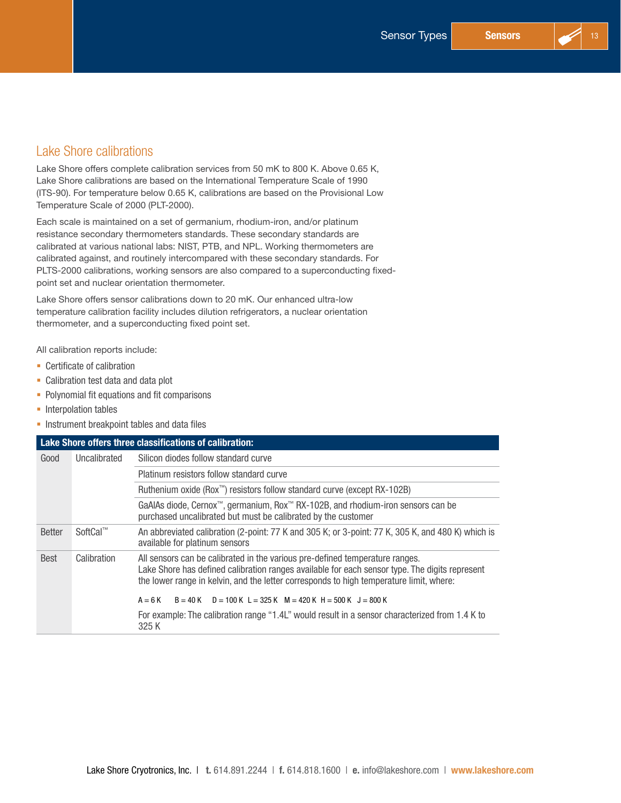### Lake Shore calibrations

Lake Shore offers complete calibration services from 50 mK to 800 K. Above 0.65 K, Lake Shore calibrations are based on the International Temperature Scale of 1990 (ITS-90). For temperature below 0.65 K, calibrations are based on the Provisional Low Temperature Scale of 2000 (PLT-2000).

Each scale is maintained on a set of germanium, rhodium-iron, and/or platinum resistance secondary thermometers standards. These secondary standards are calibrated at various national labs: NIST, PTB, and NPL. Working thermometers are calibrated against, and routinely intercompared with these secondary standards. For PLTS-2000 calibrations, working sensors are also compared to a superconducting fixedpoint set and nuclear orientation thermometer.

Lake Shore offers sensor calibrations down to 20 mK. Our enhanced ultra-low temperature calibration facility includes dilution refrigerators, a nuclear orientation thermometer, and a superconducting fixed point set.

All calibration reports include:

- Certificate of calibration
- Calibration test data and data plot
- Polynomial fit equations and fit comparisons
- **Interpolation tables**
- **Instrument breakpoint tables and data files**

|               |              | Lake Shore offers three classifications of calibration:                                                                                                                                                                                                                   |  |  |  |  |  |  |  |  |
|---------------|--------------|---------------------------------------------------------------------------------------------------------------------------------------------------------------------------------------------------------------------------------------------------------------------------|--|--|--|--|--|--|--|--|
| Good          | Uncalibrated | Silicon diodes follow standard curve                                                                                                                                                                                                                                      |  |  |  |  |  |  |  |  |
|               |              | Platinum resistors follow standard curve                                                                                                                                                                                                                                  |  |  |  |  |  |  |  |  |
|               |              | Ruthenium oxide (Rox <sup>™</sup> ) resistors follow standard curve (except RX-102B)                                                                                                                                                                                      |  |  |  |  |  |  |  |  |
|               |              | GaAlAs diode, Cernox™, germanium, Rox™ RX-102B, and rhodium-iron sensors can be<br>purchased uncalibrated but must be calibrated by the customer                                                                                                                          |  |  |  |  |  |  |  |  |
| <b>Better</b> | SoftCal™     | An abbreviated calibration (2-point: 77 K and 305 K; or 3-point: 77 K, 305 K, and 480 K) which is<br>available for platinum sensors                                                                                                                                       |  |  |  |  |  |  |  |  |
| <b>Best</b>   | Calibration  | All sensors can be calibrated in the various pre-defined temperature ranges.<br>Lake Shore has defined calibration ranges available for each sensor type. The digits represent<br>the lower range in kelvin, and the letter corresponds to high temperature limit, where: |  |  |  |  |  |  |  |  |
|               |              | $B = 40$ K D = 100 K L = 325 K M = 420 K H = 500 K J = 800 K<br>$A = 6K$                                                                                                                                                                                                  |  |  |  |  |  |  |  |  |
|               |              | For example: The calibration range "1.4L" would result in a sensor characterized from 1.4 K to<br>325 K                                                                                                                                                                   |  |  |  |  |  |  |  |  |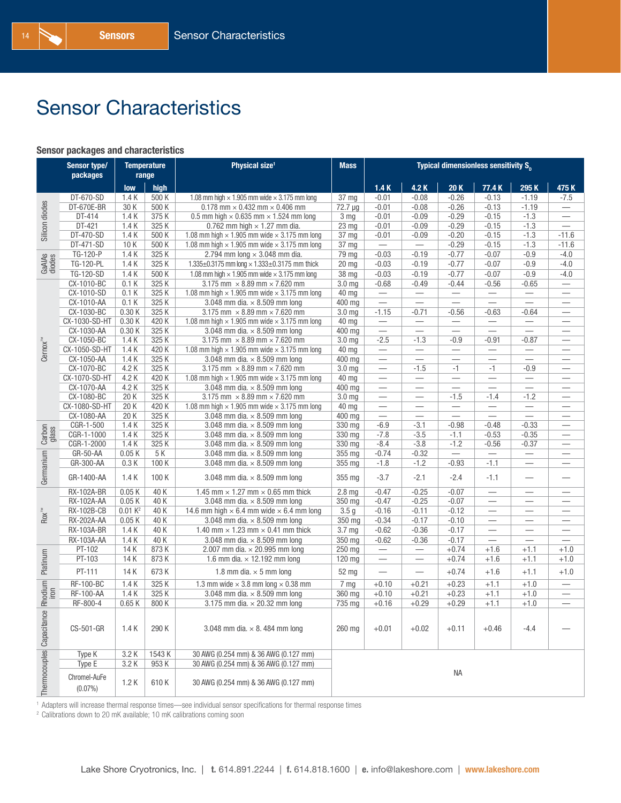# Sensor Characteristics

#### Sensor packages and characteristics

|                           | Sensor type/<br><b>Temperature</b><br>packages<br>range |                     |            | Physical size <sup>1</sup>                                 | <b>Mass</b>       | <b>Typical dimensionless sensitivity <math>S_n</math></b> |                                  |                                  |                                 |                                     |                                  |  |  |
|---------------------------|---------------------------------------------------------|---------------------|------------|------------------------------------------------------------|-------------------|-----------------------------------------------------------|----------------------------------|----------------------------------|---------------------------------|-------------------------------------|----------------------------------|--|--|
|                           |                                                         | low                 | high       |                                                            |                   | 1.4K                                                      | 4.2 K                            | 20K                              | 77.4 K                          | 295K                                | 475K                             |  |  |
|                           | DT-670-SD                                               | 1.4K                | 500 K      | 1.08 mm high $\times$ 1.905 mm wide $\times$ 3.175 mm long | 37 <sub>mg</sub>  | $-0.01$                                                   | $-0.08$                          | $-0.26$                          | $-0.13$                         | $-1.19$                             | $-7.5$                           |  |  |
|                           | DT-670E-BR                                              | 30 K                | 500 K      | $0.178$ mm $\times$ 0.432 mm $\times$ 0.406 mm             | 72.7 µg           | $-0.01$                                                   | $-0.08$                          | $-0.26$                          | $-0.13$                         | $-1.19$                             |                                  |  |  |
|                           | DT-414                                                  | 1.4K                | 375K       | 0.5 mm high $\times$ 0.635 mm $\times$ 1.524 mm long       | 3 <sub>mg</sub>   | $-0.01$                                                   | $-0.09$                          | $-0.29$                          | $-0.15$                         | $-1.3$                              | $\qquad \qquad -$                |  |  |
| Silicon diodes            | DT-421                                                  | 1.4K                | 325K       | 0.762 mm high $\times$ 1.27 mm dia.                        | 23 mg             | $-0.01$                                                   | $-0.09$                          | $-0.29$                          | $-0.15$                         | $-1.3$                              | $\overline{\phantom{0}}$         |  |  |
|                           | DT-470-SD                                               | 1.4K                | 500 K      | 1.08 mm high $\times$ 1.905 mm wide $\times$ 3.175 mm long | 37 mg             | $-0.01$                                                   | $-0.09$                          | $-0.20$                          | $-0.15$                         | $-1.3$                              | $-11.6$                          |  |  |
|                           | DT-471-SD                                               | 10K                 | 500 K      | 1.08 mm high $\times$ 1.905 mm wide $\times$ 3.175 mm long | 37 <sub>mg</sub>  |                                                           | $\overbrace{\phantom{12322111}}$ | $-0.29$                          | $-0.15$                         | $-1.3$                              | $-11.6$                          |  |  |
|                           | TG-120-P                                                | 1.4K                | 325K       | 2.794 mm long $\times$ 3.048 mm dia.                       | 79 mg             | $-0.03$                                                   | $-0.19$                          | $-0.77$                          | $-0.07$                         | $-0.9$                              | $-4.0$                           |  |  |
| GaAIAs<br>diodes          | TG-120-PL                                               | 1.4K                | 325K       | 1.335±0.3175 mm long × 1.333±0.3175 mm thick               | 20 <sub>mg</sub>  | $-0.03$                                                   | $-0.19$                          | $-0.77$                          | $-0.07$                         | $-0.9$                              | $-4.0$                           |  |  |
|                           | TG-120-SD                                               | 1.4K                | 500 K      | 1.08 mm high $\times$ 1.905 mm wide $\times$ 3.175 mm long | 38 mg             | $-0.03$                                                   | $-0.19$                          | $-0.77$                          | $-0.07$                         | $-0.9$                              | $-4.0$                           |  |  |
|                           | CX-1010-BC                                              | 0.1K                | 325K       | 3.175 mm $\times$ 8.89 mm $\times$ 7.620 mm                | 3.0 <sub>mg</sub> | $-0.68$                                                   | $-0.49$                          | $-0.44$                          | $-0.56$                         | $-0.65$                             | $\qquad \qquad$                  |  |  |
|                           | CX-1010-SD                                              | 0.1K                | 325K       | 1.08 mm high $\times$ 1.905 mm wide $\times$ 3.175 mm long | 40 mg             | $\qquad \qquad -$                                         |                                  |                                  |                                 | $\overbrace{\qquad \qquad }^{}$     | $\hspace{0.05cm}$                |  |  |
|                           | CX-1010-AA                                              | 0.1K                | 325K       | 3.048 mm dia. $\times$ 8.509 mm long                       | 400 mg            |                                                           |                                  |                                  |                                 |                                     |                                  |  |  |
|                           | CX-1030-BC                                              | 0.30K               | 325K       | 3.175 mm $\times$ 8.89 mm $\times$ 7.620 mm                | 3.0 <sub>mg</sub> | $-1.15$                                                   | $-0.71$                          | $-0.56$                          | $-0.63$                         | $-0.64$                             | $\overline{\phantom{m}}$         |  |  |
|                           | CX-1030-SD-HT                                           | 0.30K               | 420 K      | 1.08 mm high $\times$ 1.905 mm wide $\times$ 3.175 mm long | 40 mg             | $\overline{\phantom{0}}$                                  |                                  |                                  |                                 |                                     |                                  |  |  |
|                           | CX-1030-AA                                              | 0.30K               | 325K       | 3.048 mm dia. $\times$ 8.509 mm long                       | 400 mg            | $\overline{\phantom{0}}$                                  | $\overline{\phantom{0}}$         | $\qquad \qquad$                  |                                 | $\overline{\phantom{0}}$            | $\overline{\phantom{m}}$         |  |  |
| $Cernox^{TM}$             | CX-1050-BC                                              | 1.4K                | 325K       | 3.175 mm $\times$ 8.89 mm $\times$ 7.620 mm                | 3.0 <sub>mg</sub> | $-2.5$                                                    | $-1.3$                           | $-0.9$                           | $-0.91$                         | $-0.87$                             | $\overbrace{\phantom{12333}}$    |  |  |
|                           | CX-1050-SD-HT                                           | 1.4K                | 420 K      | 1.08 mm high $\times$ 1.905 mm wide $\times$ 3.175 mm long | 40 mg             | $\overline{\phantom{m}}$                                  | $\overline{\phantom{m}}$         | $\overbrace{\phantom{12322111}}$ | $\overline{\phantom{m}}$        | $\overline{\phantom{m}}$            | $\overline{\phantom{m}}$         |  |  |
|                           | CX-1050-AA                                              | 1.4K                | 325K       | 3.048 mm dia. $\times$ 8.509 mm long                       | 400 mg            | $\overline{\phantom{m}}$                                  | $\overline{\phantom{m}}$         |                                  | $\hspace{0.1mm}-\hspace{0.1mm}$ |                                     | $\hspace{0.05cm}$                |  |  |
|                           | CX-1070-BC                                              | 4.2 K               | 325K       | 3.175 mm $\times$ 8.89 mm $\times$ 7.620 mm                | 3.0 mg            | $\overline{\phantom{0}}$                                  | $-1.5$                           | $-1$                             | $-1$                            | $-0.9$                              | $\qquad \qquad$                  |  |  |
|                           | CX-1070-SD-HT                                           | 4.2 K               | 420 K      | 1.08 mm high $\times$ 1.905 mm wide $\times$ 3.175 mm long | 40 mg             |                                                           |                                  |                                  |                                 |                                     |                                  |  |  |
|                           | CX-1070-AA                                              | 4.2 K               | 325K       | 3.048 mm dia, $\times$ 8.509 mm long                       | 400 mg            |                                                           |                                  |                                  |                                 |                                     |                                  |  |  |
|                           | CX-1080-BC                                              | 20K                 | 325K       | 3.175 mm $\times$ 8.89 mm $\times$ 7.620 mm                | 3.0 <sub>mg</sub> |                                                           |                                  | $-1.5$                           | $-1.4$                          | $-1.2$                              | $\hspace{0.1mm}-\hspace{0.1mm}$  |  |  |
|                           | CX-1080-SD-HT                                           | 20K                 | 420 K      | 1.08 mm high $\times$ 1.905 mm wide $\times$ 3.175 mm long | 40 mg             |                                                           |                                  | $\qquad \qquad$                  | $\qquad \qquad$                 |                                     |                                  |  |  |
|                           | CX-1080-AA                                              | 20K                 | 325K       | 3.048 mm dia. $\times$ 8.509 mm long                       | 400 mg            | $\overline{\phantom{0}}$                                  | $\qquad \qquad$                  | $\qquad \qquad$                  |                                 |                                     | $\overbrace{\qquad \qquad }^{}$  |  |  |
| Carbon<br>glass           | CGR-1-500                                               | 1.4K                | 325K       | 3.048 mm dia. $\times$ 8.509 mm long                       | 330 mg            | $-6.9$                                                    | $-3.1$                           | $-0.98$                          | $-0.48$                         | $-0.33$                             |                                  |  |  |
|                           | CGR-1-1000                                              | 1.4K                | 325K       | 3.048 mm dia, $\times$ 8.509 mm long                       | 330 mg            | $-7.8$                                                    | $-3.5$                           | $-1.1$                           | $-0.53$                         | $-0.35$                             | $\hspace{0.05cm}$                |  |  |
|                           | CGR-1-2000<br>GR-50-AA                                  | 1.4K                | 325K       | 3.048 mm dia. $\times$ 8.509 mm long                       | 330 mg            | $-8.4$                                                    | $-3.8$                           | $-1.2$                           | $-0.56$<br>$\qquad \qquad -$    | $-0.37$<br>$\overline{\phantom{0}}$ | $\overbrace{\phantom{12332}}$    |  |  |
|                           |                                                         | 0.05K<br>0.3K       | 5K<br>100K | 3.048 mm dia. $\times$ 8.509 mm long                       | 355 mg            | $-0.74$<br>$-1.8$                                         | $-0.32$<br>$-1.2$                | $-0.93$                          | $-1.1$                          |                                     | $\overline{\phantom{0}}$         |  |  |
|                           | GR-300-AA                                               |                     |            | 3.048 mm dia. $\times$ 8.509 mm long                       | 355 mg            |                                                           |                                  |                                  |                                 |                                     |                                  |  |  |
| Germanium                 | GR-1400-AA                                              | 1.4K                | 100K       | 3.048 mm dia. $\times$ 8.509 mm long                       | 355 mg            | $-3.7$                                                    | $-2.1$                           | $-2.4$                           | $-1.1$                          |                                     | -                                |  |  |
|                           | <b>RX-102A-BR</b>                                       | 0.05K               | 40 K       | 1.45 mm $\times$ 1.27 mm $\times$ 0.65 mm thick            | 2.8 <sub>mg</sub> | $-0.47$                                                   | $-0.25$                          | $-0.07$                          |                                 |                                     |                                  |  |  |
|                           | RX-102A-AA                                              | 0.05K               | 40 K       | 3.048 mm dia. $\times$ 8.509 mm long                       | 350 mg            | $-0.47$                                                   | $-0.25$                          | $-0.07$                          | $\overbrace{\qquad \qquad }^{}$ |                                     |                                  |  |  |
| $\text{Row}^{\text{tw}}$  | <b>RX-102B-CB</b>                                       | 0.01 K <sup>2</sup> | 40 K       | 14.6 mm high $\times$ 6.4 mm wide $\times$ 6.4 mm long     | 3.5 <sub>g</sub>  | $-0.16$                                                   | $-0.11$                          | $-0.12$                          | $\overbrace{\phantom{12333}}$   | $\overline{\phantom{m}}$            |                                  |  |  |
|                           | RX-202A-AA                                              | 0.05K               | 40 K       | 3.048 mm dia. $\times$ 8.509 mm long                       | 350 mg            | $-0.34$                                                   | $-0.17$                          | $-0.10$                          | $\hspace{0.1mm}-\hspace{0.1mm}$ | $\overbrace{\qquad \qquad }^{}$     |                                  |  |  |
|                           | <b>RX-103A-BR</b>                                       | 1.4K                | 40 K       | 1.40 mm $\times$ 1.23 mm $\times$ 0.41 mm thick            | 3.7 mg            | $-0.62$                                                   | $-0.36$                          | $-0.17$                          |                                 | $\overline{\phantom{0}}$            | $\overline{\phantom{0}}$         |  |  |
|                           | RX-103A-AA                                              | 1.4K                | 40 K       | 3.048 mm dia. $\times$ 8.509 mm long                       | 350 mg            | $-0.62$                                                   | $-0.36$                          | $-0.17$                          |                                 |                                     | $\overline{\phantom{0}}$         |  |  |
|                           | PT-102                                                  | 14K                 | 873K       | 2.007 mm dia. $\times$ 20.995 mm long                      | 250 mg            | $\overline{\phantom{m}}$                                  | $\overline{\phantom{m}}$         | $+0.74$                          | $+1.6$                          | $+1.1$                              | $+1.0$                           |  |  |
| Platinum                  | PT-103                                                  | 14K                 | 873K       | 1.6 mm dia. $\times$ 12.192 mm long                        | 120 mg            |                                                           |                                  | $+0.74$                          | $+1.6$                          | $+1.1$                              | $+1.0$                           |  |  |
|                           | PT-111                                                  | 14K                 | 673K       | 1.8 mm dia. $\times$ 5 mm long                             | 52 mg             |                                                           | $\overline{\phantom{0}}$         | $+0.74$                          | $+1.6$                          | $+1.1$                              | $+1.0$                           |  |  |
| Rhodium<br>iron           | <b>RF-100-BC</b>                                        | 1.4K                | 325K       | 1.3 mm wide $\times$ 3.8 mm long $\times$ 0.38 mm          | $\overline{7}$ mg | $+0.10$                                                   | $+0.21$                          | $+0.23$                          | $+1.1$                          | $+1.0$                              |                                  |  |  |
|                           | RF-100-AA                                               | 1.4K                | 325K       | 3.048 mm dia. $\times$ 8.509 mm long                       | 360 mg            | $+0.10$                                                   | $+0.21$                          | $+0.23$                          | $+1.1$                          | $+1.0$                              | $\overbrace{\phantom{12322111}}$ |  |  |
|                           | RF-800-4                                                | 0.65K               | 800K       | 3.175 mm dia. $\times$ 20.32 mm long                       | 735 mg            | $+0.16$                                                   | $+0.29$                          | $+0.29$                          | $+1.1$                          | $+1.0$                              |                                  |  |  |
| Thermocouples Capacitance | CS-501-GR                                               | 1.4K                | 290 K      | 3.048 mm dia. $\times$ 8.484 mm long                       | 260 mg            | $+0.01$                                                   | $+0.02$                          | $+0.11$                          | $+0.46$                         | $-4.4$                              |                                  |  |  |
|                           | Type K                                                  | 3.2 K               | 1543 K     | 30 AWG (0.254 mm) & 36 AWG (0.127 mm)                      |                   |                                                           |                                  |                                  |                                 |                                     |                                  |  |  |
|                           | Type E                                                  | 3.2 K               | 953 K      | 30 AWG (0.254 mm) & 36 AWG (0.127 mm)                      |                   |                                                           |                                  |                                  |                                 |                                     |                                  |  |  |
|                           | Chromel-AuFe<br>$(0.07\%)$                              | 1.2K                | 610K       | 30 AWG (0.254 mm) & 36 AWG (0.127 mm)                      |                   |                                                           |                                  | <b>NA</b>                        |                                 |                                     |                                  |  |  |

<sup>1</sup> Adapters will increase thermal response times—see individual sensor specifications for thermal response times

<sup>2</sup> Calibrations down to 20 mK available; 10 mK calibrations coming soon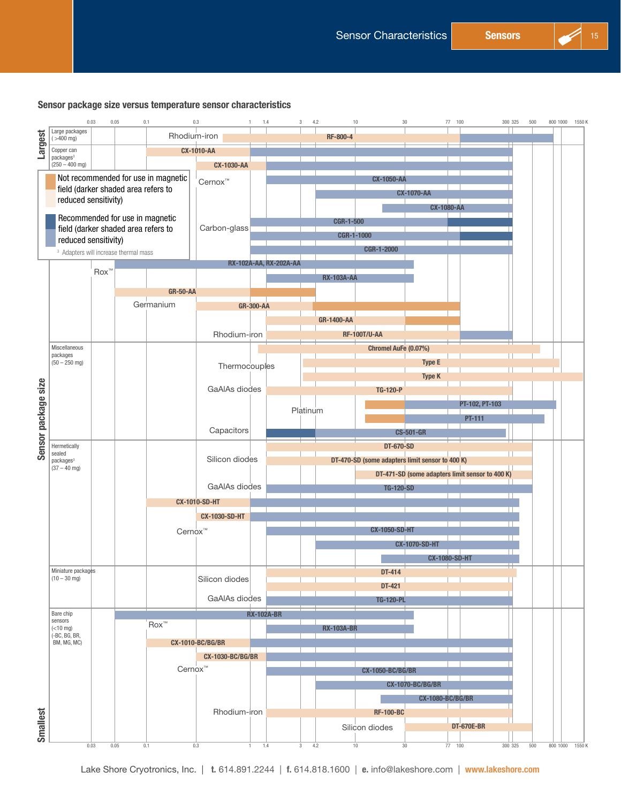#### Sensor package size versus temperature sensor characteristics



Lake Shore Cryotronics, Inc. | t. 614.891.2244 | f. 614.818.1600 | e. info@lakeshore.com | www.lakeshore.com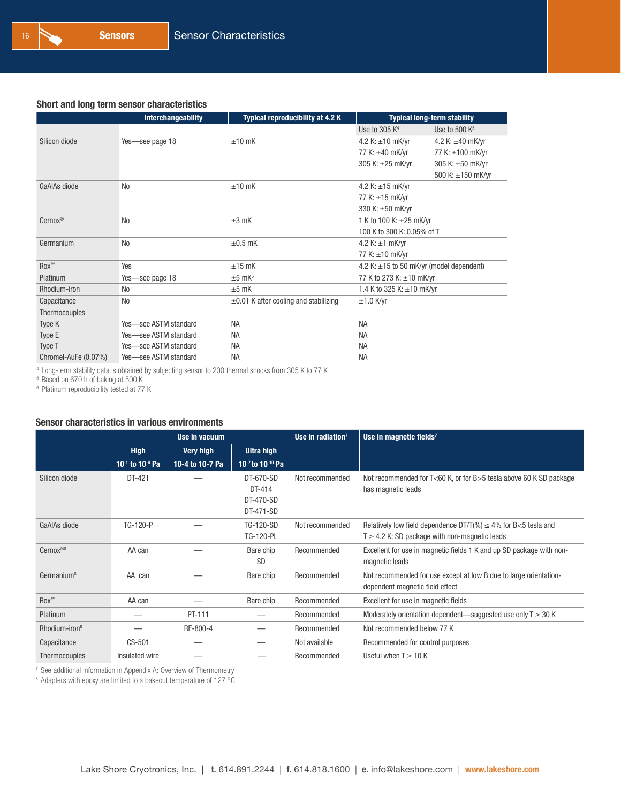#### Short and long term sensor characteristics

|                      | Interchangeability    | <b>Typical reproducibility at 4.2 K</b>    | <b>Typical long-term stability</b>            |                       |  |  |  |
|----------------------|-----------------------|--------------------------------------------|-----------------------------------------------|-----------------------|--|--|--|
|                      |                       |                                            | Use to 305 $K4$                               | Use to 500 $K^5$      |  |  |  |
| Silicon diode        | Yes-see page 18       | $±10$ mK                                   | 4.2 K: $\pm 10$ mK/yr                         | 4.2 K: $\pm 40$ mK/yr |  |  |  |
|                      |                       |                                            | 77 K: ±40 mK/yr                               | 77 K: ±100 mK/yr      |  |  |  |
|                      |                       |                                            | 305 K: ±25 mK/yr                              | 305 K: ±50 mK/yr      |  |  |  |
|                      |                       |                                            |                                               | 500 K: ±150 mK/yr     |  |  |  |
| GaAlAs diode         | N <sub>0</sub>        | $±10$ mK                                   | 4.2 K: $\pm 15$ mK/yr                         |                       |  |  |  |
|                      |                       |                                            | 77 K: ±15 mK/yr                               |                       |  |  |  |
|                      |                       |                                            | 330 K: ±50 mK/yr                              |                       |  |  |  |
| Cernox®              | N <sub>0</sub>        | $\pm 3$ mK                                 | 1 K to 100 K: ±25 mK/yr                       |                       |  |  |  |
|                      |                       |                                            | 100 K to 300 K: 0.05% of T                    |                       |  |  |  |
| Germanium            | <b>No</b>             | $\pm 0.5$ mK                               | 4.2 K: $\pm$ 1 mK/yr                          |                       |  |  |  |
|                      |                       |                                            | 77 K: $\pm 10$ mK/yr                          |                       |  |  |  |
| $Box^{\mathsf{TM}}$  | Yes                   | $±15$ mK                                   | 4.2 K: $\pm$ 15 to 50 mK/yr (model dependent) |                       |  |  |  |
| Platinum             | Yes-see page 18       | $±5$ mK <sup>6</sup>                       | 77 K to 273 K: ±10 mK/yr                      |                       |  |  |  |
| Rhodium-iron         | N <sub>0</sub>        | $±5$ mK                                    | 1.4 K to 325 K: $\pm$ 10 mK/yr                |                       |  |  |  |
| Capacitance          | <b>No</b>             | $\pm 0.01$ K after cooling and stabilizing | $±1.0$ K/yr                                   |                       |  |  |  |
| Thermocouples        |                       |                                            |                                               |                       |  |  |  |
| Type K               | Yes-see ASTM standard | <b>NA</b>                                  | <b>NA</b>                                     |                       |  |  |  |
| Type E               | Yes-see ASTM standard | <b>NA</b>                                  | <b>NA</b>                                     |                       |  |  |  |
| Type T               | Yes-see ASTM standard | <b>NA</b>                                  | <b>NA</b>                                     |                       |  |  |  |
| Chromel-AuFe (0.07%) | Yes-see ASTM standard | <b>NA</b>                                  | <b>NA</b>                                     |                       |  |  |  |

<sup>4</sup> Long-term stability data is obtained by subjecting sensor to 200 thermal shocks from 305 K to 77 K

<sup>5</sup> Based on 670 h of baking at 500 K

<sup>6</sup> Platinum reproducibility tested at 77 K

#### Sensor characteristics in various environments

|                           |                                         | Use in vacuum    |                                               | Use in radiation <sup>7</sup> | Use in magnetic fields <sup>7</sup>                                                                                         |
|---------------------------|-----------------------------------------|------------------|-----------------------------------------------|-------------------------------|-----------------------------------------------------------------------------------------------------------------------------|
|                           | <b>High</b>                             | <b>Very high</b> | Ultra high                                    |                               |                                                                                                                             |
|                           | 10 <sup>-1</sup> to 10 <sup>-4</sup> Pa | 10-4 to 10-7 Pa  | 10 $-7$ to 10 $-10$ Pa                        |                               |                                                                                                                             |
| Silicon diode             | DT-421                                  |                  | DT-670-SD<br>DT-414<br>DT-470-SD<br>DT-471-SD | Not recommended               | Not recommended for T<60 K, or for B>5 tesla above 60 K SD package<br>has magnetic leads                                    |
| GaAIAs diode              | TG-120-P                                |                  | TG-120-SD<br>TG-120-PL                        | Not recommended               | Relatively low field dependence $DT/T(\%) \leq 4\%$ for B<5 tesla and<br>$T \geq 4.2$ K; SD package with non-magnetic leads |
| Cernox <sup>®8</sup>      | AA can                                  |                  | Bare chip<br><b>SD</b>                        | Recommended                   | Excellent for use in magnetic fields 1 K and up SD package with non-<br>magnetic leads                                      |
| Germanium <sup>8</sup>    | AA can                                  |                  | Bare chip                                     | Recommended                   | Not recommended for use except at low B due to large orientation-<br>dependent magnetic field effect                        |
| $Box^{\mathsf{m}}$        | AA can                                  |                  | Bare chip                                     | Recommended                   | Excellent for use in magnetic fields                                                                                        |
| Platinum                  |                                         | PT-111           |                                               | Recommended                   | Moderately orientation dependent—suggested use only $T \ge 30$ K                                                            |
| Rhodium-iron <sup>8</sup> |                                         | RF-800-4         |                                               | Recommended                   | Not recommended below 77 K                                                                                                  |
| Capacitance               | CS-501                                  |                  |                                               | Not available                 | Recommended for control purposes                                                                                            |
| Thermocouples             | Insulated wire                          |                  |                                               | Recommended                   | Useful when $T \geq 10$ K                                                                                                   |

<sup>7</sup> See additional information in Appendix A: Overview of Thermometry

<sup>8</sup> Adapters with epoxy are limited to a bakeout temperature of 127 °C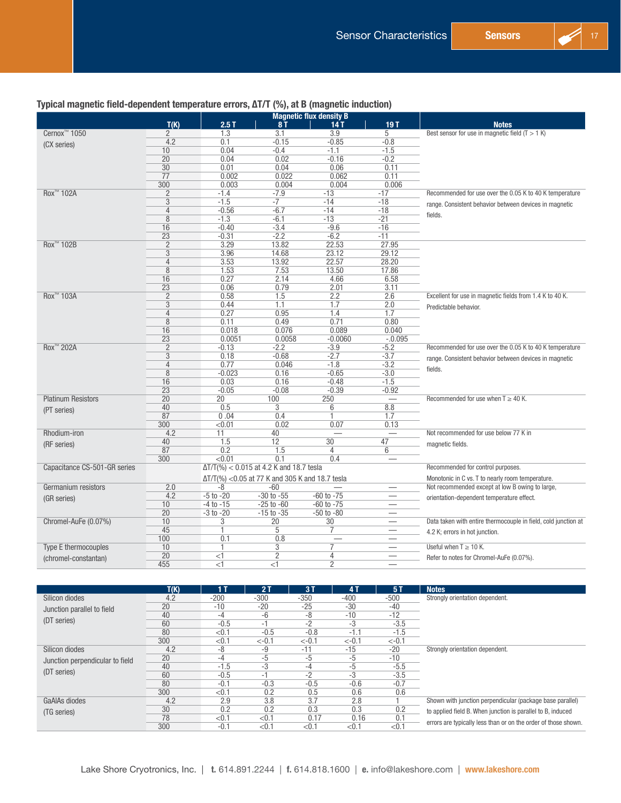

|                              |                 |               |                                                  | <b>Magnetic flux density B</b> |                                 |                                                                |
|------------------------------|-----------------|---------------|--------------------------------------------------|--------------------------------|---------------------------------|----------------------------------------------------------------|
|                              | T(K)            | 2.5T          | 8 T                                              | 14 T                           | 19T                             | <b>Notes</b>                                                   |
| Cernox <sup>™</sup> 1050     | 2               | 1.3           | 3.1                                              | 3.9                            | 5                               | Best sensor for use in magnetic field $(T > 1 K)$              |
| (CX series)                  | 4.2             | 0.1           | $-0.15$                                          | $-0.85$                        | $-0.8$                          |                                                                |
|                              | 10              | 0.04          | $-0.4$                                           | $-1.1$                         | $-1.5$                          |                                                                |
|                              | 20              | 0.04          | 0.02                                             | $-0.16$                        | $-0.2$                          |                                                                |
|                              | 30              | 0.01          | 0.04                                             | 0.06                           | 0.11                            |                                                                |
|                              | 77              | 0.002         | 0.022                                            | 0.062                          | 0.11                            |                                                                |
|                              | 300             | 0.003         | 0.004                                            | 0.004                          | 0.006                           |                                                                |
| Rox <sup>™</sup> 102A        | $\overline{2}$  | $-1.4$        | $-7.9$                                           | $-13$                          | $-17$                           | Recommended for use over the 0.05 K to 40 K temperature        |
|                              | 3               | $-1.5$        | $-7$                                             | $-14$                          | $-18$                           | range. Consistent behavior between devices in magnetic         |
|                              | 4               | $-0.56$       | $-6.7$                                           | $-14$                          | $-18$                           | fields.                                                        |
|                              | 8               | $-1.3$        | $-6.1$                                           | $-13$                          | $-21$                           |                                                                |
|                              | 16              | $-0.40$       | $-3.4$                                           | $-9.6$                         | $-16$                           |                                                                |
|                              | 23              | $-0.31$       | $-2.2$                                           | $-6.2$                         | $-11$                           |                                                                |
| Rox <sup>™</sup> 102B        | $\overline{2}$  | 3.29          | 13.82                                            | 22.53                          | 27.95                           |                                                                |
|                              | 3               | 3.96          | 14.68                                            | 23.12                          | 29.12                           |                                                                |
|                              | $\overline{4}$  | 3.53          | 13.92                                            | 22.57                          | 28.20                           |                                                                |
|                              | 8               | 1.53          | 7.53                                             | 13.50                          | 17.86                           |                                                                |
|                              | 16              | 0.27          | 2.14                                             | 4.66                           | 6.58                            |                                                                |
|                              | 23              | 0.06          | 0.79                                             | 2.01                           | 3.11                            |                                                                |
| Rox <sup>™</sup> 103A        | $\overline{2}$  | 0.58          | 1.5                                              | 2.2                            | 2.6                             | Excellent for use in magnetic fields from 1.4 K to 40 K.       |
|                              | $\overline{3}$  | 0.44          | 1.1                                              | 1.7                            | 2.0                             | Predictable behavior.                                          |
|                              | 4               | 0.27          | 0.95                                             | 1.4                            | 1.7                             |                                                                |
|                              | 8               | 0.11          | 0.49                                             | 0.71                           | 0.80                            |                                                                |
|                              | 16              | 0.018         | 0.076                                            | 0.089                          | 0.040                           |                                                                |
|                              | 23              | 0.0051        | 0.0058                                           | $-0.0060$                      | $-.0.095$                       |                                                                |
| Rox <sup>™</sup> 202A        | $\overline{2}$  | $-0.13$       | $-2.2$                                           | $-3.9$                         | $-5.2$                          | Recommended for use over the 0.05 K to 40 K temperature        |
|                              | 3               | 0.18          | $-0.68$                                          | $-2.7$                         | $-3.7$                          | range. Consistent behavior between devices in magnetic         |
|                              | 4               | 0.77          | 0.046                                            | $-1.8$                         | $-3.2$                          | fields.                                                        |
|                              | 8               | $-0.023$      | 0.16                                             | $-0.65$                        | $-3.0$                          |                                                                |
|                              | 16              | 0.03          | 0.16                                             | $-0.48$                        | $-1.5$                          |                                                                |
|                              | $\overline{23}$ | $-0.05$       | $-0.08$                                          | $-0.39$                        | $-0.92$                         |                                                                |
| <b>Platinum Resistors</b>    | 20              | 20            | 100                                              | 250                            |                                 | Recommended for use when $T \geq 40$ K.                        |
| (PT series)                  | 40              | 0.5           | 3                                                | 6                              | 8.8                             |                                                                |
|                              | 87              | 0.04          | 0.4                                              |                                | 1.7                             |                                                                |
|                              | 300             | < 0.01        | 0.02                                             | 0.07                           | 0.13                            |                                                                |
| Rhodium-iron                 | 4.2             | 11            | 40                                               |                                |                                 | Not recommended for use below 77 K in                          |
| (RF series)                  | 40              | 1.5           | 12                                               | 30                             | 47                              | magnetic fields.                                               |
|                              | 87              | 0.2           | 1.5                                              | 4                              | 6                               |                                                                |
|                              | 300             | < 0.01        | 0.1                                              | 0.4                            |                                 |                                                                |
| Capacitance CS-501-GR series |                 |               | $\Delta T/T(\%) < 0.015$ at 4.2 K and 18.7 tesla |                                |                                 | Recommended for control purposes.                              |
|                              |                 |               | ΔT/T(%) < 0.05 at 77 K and 305 K and 18.7 tesla  |                                |                                 | Monotonic in C vs. T to nearly room temperature.               |
| Germanium resistors          | 2.0             | -8            | $-60$                                            |                                |                                 | Not recommended except at low B owing to large,                |
| (GR series)                  | 4.2             | $-5$ to $-20$ | $-30$ to $-55$                                   | $-60$ to $-75$                 | $\hspace{0.1mm}-\hspace{0.1mm}$ | orientation-dependent temperature effect.                      |
|                              | 10 <sup>1</sup> | $-4$ to $-15$ | $-25$ to $-60$                                   | $-60$ to $-75$                 | $\overline{\phantom{0}}$        |                                                                |
|                              | 20              | $-3$ to $-20$ | $-15$ to $-35$                                   | $-50$ to $-80$                 |                                 |                                                                |
| Chromel-AuFe (0.07%)         | 10              | 3             | 20                                               | 30                             |                                 | Data taken with entire thermocouple in field, cold junction at |
|                              | 45              | 1             | 5                                                | 7                              | $\overline{\phantom{0}}$        | 4.2 K; errors in hot junction.                                 |
|                              | 100             | 0.1           | 0.8                                              |                                |                                 |                                                                |
| Type E thermocouples         | 10              |               | 3                                                |                                | $\overline{\phantom{0}}$        | Useful when $T \geq 10$ K.                                     |
| (chromel-constantan)         | 20              | $<$ 1         | $\overline{2}$                                   | 4                              |                                 | Refer to notes for Chromel-AuFe (0.07%).                       |
|                              | 455             | $<$ 1         | <1                                               | $\overline{2}$                 |                                 |                                                                |

|                                 | T(K) | 1 T    | 2T      | 3T       | 4T       | 5T       | <b>Notes</b>                                                   |
|---------------------------------|------|--------|---------|----------|----------|----------|----------------------------------------------------------------|
| Silicon diodes                  | 4.2  | $-200$ | $-300$  | $-350$   | $-400$   | $-500$   | Strongly orientation dependent.                                |
| Junction parallel to field      | 20   | $-10$  | $-20$   | $-25$    | $-30$    | $-40$    |                                                                |
|                                 | 40   | -4     | -6      | -8       | $-10$    | $-12$    |                                                                |
| (DT series)                     | 60   | $-0.5$ | -1      | -2       | -3       | $-3.5$   |                                                                |
|                                 | 80   | < 0.1  | $-0.5$  | $-0.8$   | $-1.7$   | $-1.5$   |                                                                |
|                                 | 300  | < 0.1  | $<-0.1$ | $< -0.1$ | $< -0.1$ | $< -0.1$ |                                                                |
| Silicon diodes                  | 4.2  | -8     | -9      | $-11$    | $-15$    | $-20$    | Strongly orientation dependent.                                |
| Junction perpendicular to field | 20   | -4     | -5      | -5       | -5       | $-10$    |                                                                |
|                                 | 40   | $-1.5$ | $-3$    | -4       | $-5$     | $-5.5$   |                                                                |
| (DT series)                     | 60   | $-0.5$ | -1      | $-2$     | -3       | $-3.5$   |                                                                |
|                                 | 80   | $-0.1$ | $-0.3$  | $-0.5$   | $-0.6$   | $-0.7$   |                                                                |
|                                 | 300  | < 0.1  | 0.2     | 0.5      | 0.6      | 0.6      |                                                                |
| GaAIAs diodes                   | 4.2  | 2.9    | 3.8     | 3.7      | 2.8      |          | Shown with junction perpendicular (package base parallel)      |
| (TG series)                     | 30   | 0.2    | 0.2     | 0.3      | 0.3      | 0.2      | to applied field B. When junction is parallel to B, induced    |
|                                 | 78   | < 0.1  | < 0.1   | 0.17     | 0.16     | 0.1      |                                                                |
|                                 | 300  | $-0.1$ | < 0.1   | < 0.1    | $<$ 0.1  | < 0.1    | errors are typically less than or on the order of those shown. |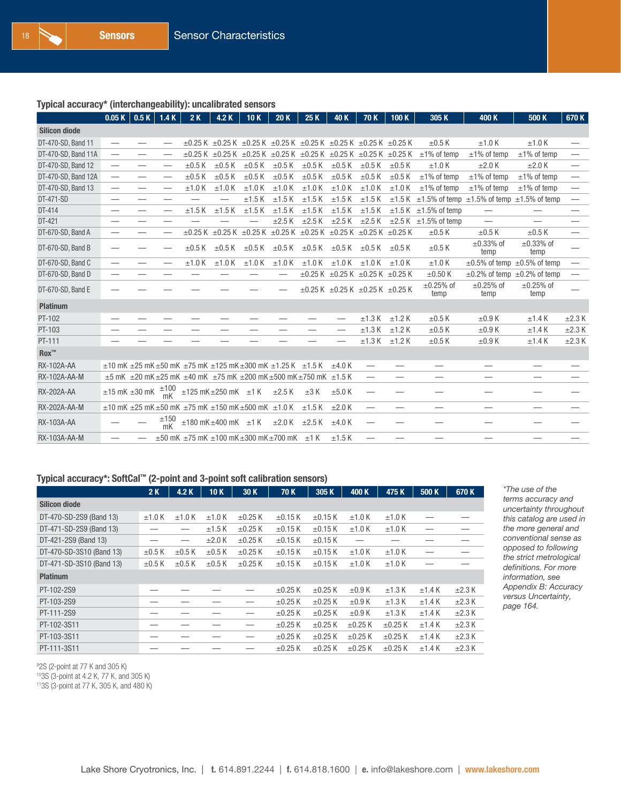#### Typical accuracy\* (interchangeability): uncalibrated sensors

|                              | 0.05K                    | 0.5K                    | 1.4K                            | 2K          | 4.2K                                                                                                          | 10K         | 20K         | 25K         | 40 K                    | 70K                                                 | 100K        | 305K                                                                    | 400 K                                   | 500 K                         | 670K                            |
|------------------------------|--------------------------|-------------------------|---------------------------------|-------------|---------------------------------------------------------------------------------------------------------------|-------------|-------------|-------------|-------------------------|-----------------------------------------------------|-------------|-------------------------------------------------------------------------|-----------------------------------------|-------------------------------|---------------------------------|
| <b>Silicon diode</b>         |                          |                         |                                 |             |                                                                                                               |             |             |             |                         |                                                     |             |                                                                         |                                         |                               |                                 |
| DT-470-SD, Band 11           |                          |                         |                                 |             | $\pm$ 0.25 K $\pm$ 0.25 K $\pm$ 0.25 K $\pm$ 0.25 K $\pm$ 0.25 K $\pm$ 0.25 K $\pm$ 0.25 K $\pm$ 0.25 K       |             |             |             |                         |                                                     |             | $\pm 0.5$ K                                                             | $±1.0$ K                                | $±1.0$ K                      |                                 |
| DT-470-SD, Band 11A          | $\overline{\phantom{0}}$ | —                       |                                 |             | $\pm 0.25$ K $\pm 0.25$ K $\pm 0.25$ K $\pm 0.25$ K $\pm 0.25$ K $\pm 0.25$ K $\pm 0.25$ K $\pm 0.25$ K       |             |             |             |                         |                                                     |             | $\pm$ 1% of temp                                                        | $±1\%$ of temp                          | $±1\%$ of temp                |                                 |
| DT-470-SD, Band 12           |                          | —                       |                                 | $\pm 0.5$ K | $\pm 0.5$ K                                                                                                   | $\pm 0.5$ K | $\pm 0.5$ K | $\pm 0.5$ K | $\pm 0.5$ K             | $\pm 0.5$ K                                         | $\pm 0.5$ K | ±1.0K                                                                   | $\pm 2.0$ K                             | $\pm 2.0$ K                   | $\hspace{0.1mm}-\hspace{0.1mm}$ |
| DT-470-SD, Band 12A          | $\overline{\phantom{0}}$ | —                       | $\overline{\phantom{0}}$        | $\pm 0.5$ K | $\pm 0.5$ K                                                                                                   | $\pm 0.5$ K | $\pm 0.5$ K | $\pm 0.5$ K | $\pm 0.5$ K             | $\pm 0.5$ K                                         | $\pm 0.5$ K | $\pm$ 1% of temp                                                        | $±1\%$ of temp                          | $±1\%$ of temp                | -                               |
| DT-470-SD, Band 13           |                          | —                       | $\hspace{0.1mm}-\hspace{0.1mm}$ | $±1.0$ K    | $±1.0$ K                                                                                                      | $±1.0$ K    | ±1.0 K      | $±1.0$ K    | ±1.0 K                  | $±1.0$ K                                            | ±1.0 K      | $\pm$ 1% of temp                                                        | $±1\%$ of temp                          | $\pm$ 1% of temp              |                                 |
| DT-471-SD                    |                          | -                       |                                 |             |                                                                                                               | ±1.5K       | $±1.5$ K    | ±1.5K       | $±1.5$ K                | $±1.5$ K                                            |             | $\pm 1.5$ K $\pm 1.5$ % of temp $\pm 1.5$ % of temp $\pm 1.5$ % of temp |                                         |                               | $\overline{\phantom{0}}$        |
| DT-414                       | —                        | —                       | —                               | $±1.5$ K    | ±1.5K                                                                                                         | $±1.5$ K    | $±1.5$ K    | $±1.5$ K    | $\pm 1.5$ K             | $±1.5$ K                                            |             | $\pm 1.5$ K $\pm 1.5$ % of temp                                         | $\hspace{0.1mm}-\hspace{0.1mm}$         |                               | –                               |
| DT-421                       | –                        | --                      |                                 |             |                                                                                                               |             | $\pm 2.5$ K | $\pm 2.5$ K | $\pm 2.5$ K             | $\pm 2.5$ K                                         |             | $\pm 2.5$ K $\pm 1.5$ % of temp                                         | $\overline{\phantom{0}}$                |                               |                                 |
| DT-670-SD, Band A            | $\overline{\phantom{0}}$ | —                       |                                 |             | $\pm 0.25$ K $\pm 0.25$ K $\pm 0.25$ K $\pm 0.25$ K $\pm 0.25$ K $\pm 0.25$ K $\pm 0.25$ K $\pm 0.25$ K       |             |             |             |                         |                                                     |             | $\pm 0.5$ K                                                             | $\pm 0.5$ K                             | $\pm 0.5$ K                   |                                 |
| DT-670-SD, Band B            |                          |                         |                                 | $\pm 0.5$ K | $\pm 0.5$ K                                                                                                   | $\pm 0.5$ K | $\pm 0.5$ K |             | $\pm 0.5$ K $\pm 0.5$ K | $\pm 0.5$ K                                         | $\pm 0.5$ K | $\pm 0.5$ K                                                             | $\pm 0.33\%$ of<br>temp                 | $\pm 0.33\%$ of<br>temp       |                                 |
| DT-670-SD, Band C            |                          |                         |                                 | $±1.0$ K    | $±1.0$ K                                                                                                      | ±1.0 K      | $±1.0$ K    | $±1.0$ K    | $±1.0$ K                | $±1.0$ K                                            | $±1.0$ K    | $±1.0$ K                                                                | $\pm 0.5\%$ of temp $\pm 0.5\%$ of temp |                               |                                 |
| DT-670-SD, Band D            | -                        |                         |                                 |             |                                                                                                               |             |             |             |                         | $\pm 0.25$ K $\pm 0.25$ K $\pm 0.25$ K $\pm 0.25$ K |             | $\pm 0.50$ K                                                            | $\pm 0.2\%$ of temp $\pm 0.2\%$ of temp |                               |                                 |
| DT-670-SD, Band E            |                          |                         |                                 |             |                                                                                                               |             |             |             |                         | $\pm 0.25$ K $\pm 0.25$ K $\pm 0.25$ K $\pm 0.25$ K |             | $\pm 0.25\%$ of<br>temp                                                 | $\pm 0.25\%$ of<br>temp                 | $\pm 0.25\%$ of<br>temp       |                                 |
| <b>Platinum</b>              |                          |                         |                                 |             |                                                                                                               |             |             |             |                         |                                                     |             |                                                                         |                                         |                               |                                 |
| PT-102                       |                          |                         |                                 |             |                                                                                                               |             |             |             |                         | ±1.3K                                               | $±1.2$ K    | $\pm 0.5$ K                                                             | $\pm 0.9$ K                             | ±1.4K                         | $\pm 2.3$ K                     |
| PT-103                       |                          |                         |                                 |             |                                                                                                               |             |             |             |                         | ±1.3K                                               | $±1.2$ K    | $\pm 0.5$ K                                                             | $\pm 0.9$ K                             | ±1.4K                         | $\pm 2.3$ K                     |
| PT-111                       |                          |                         |                                 |             |                                                                                                               |             |             |             |                         | ±1.3K                                               | $±1.2$ K    | $\pm 0.5$ K                                                             | $\pm 0.9$ K                             | ±1.4K                         | $\pm 2.3$ K                     |
| $\mathsf{Rox}^{\mathsf{TM}}$ |                          |                         |                                 |             |                                                                                                               |             |             |             |                         |                                                     |             |                                                                         |                                         |                               |                                 |
| <b>RX-102A-AA</b>            |                          |                         |                                 |             | $\pm$ 10 mK $\pm$ 25 mK $\pm$ 50 mK $\pm$ 75 mK $\pm$ 125 mK $\pm$ 300 mK $\pm$ 1.25 K $\pm$ 1.5 K            |             |             |             | $\pm 4.0$ K             |                                                     |             | -                                                                       |                                         | $\overbrace{\phantom{12333}}$ |                                 |
| RX-102A-AA-M                 |                          |                         |                                 |             | $\pm$ 5 mK $\pm$ 20 mK $\pm$ 25 mK $\pm$ 40 mK $\pm$ 75 mK $\pm$ 200 mK $\pm$ 500 mK $\pm$ 750 mK $\pm$ 1.5 K |             |             |             |                         |                                                     |             |                                                                         |                                         |                               |                                 |
| <b>RX-202A-AA</b>            |                          | $\pm 15$ mK $\pm 30$ mK | $\frac{1100}{mK}$               |             | $\pm 125$ mK $\pm 250$ mK $\pm 1$ K $\pm 2.5$ K                                                               |             |             | $\pm 3$ K   | ±5.0K                   |                                                     |             |                                                                         |                                         |                               |                                 |
| RX-202A-AA-M                 |                          |                         |                                 |             | $\pm$ 10 mK $\pm$ 25 mK $\pm$ 50 mK $\pm$ 75 mK $\pm$ 150 mK $\pm$ 500 mK $\pm$ 1.0 K                         |             |             | $±1.5$ K    | ±2.0 K                  |                                                     |             |                                                                         | --                                      | --                            |                                 |
| RX-103A-AA                   |                          |                         | ±150<br>mK                      |             | $\pm$ 180 mK $\pm$ 400 mK $\pm$ 1 K $\pm$ 2.0 K $\pm$ 2.5 K                                                   |             |             |             | $±4.0$ K                |                                                     |             |                                                                         |                                         |                               |                                 |
| RX-103A-AA-M                 |                          |                         |                                 |             | $\pm$ 50 mK $\pm$ 75 mK $\pm$ 100 mK $\pm$ 300 mK $\pm$ 700 mK $\pm$ 1 K                                      |             |             |             | $±1.5$ K                |                                                     |             |                                                                         |                                         |                               |                                 |

#### Typical accuracy\*: SoftCal™ (2-point and 3-point soft calibration sensors)

|                          | 2K          | 4.2 K       | 10K         | 30 K         | 70K          | 305 K        | 400 K        | 475K         | 500 K       | 670 K       |
|--------------------------|-------------|-------------|-------------|--------------|--------------|--------------|--------------|--------------|-------------|-------------|
| <b>Silicon diode</b>     |             |             |             |              |              |              |              |              |             |             |
| DT-470-SD-2S9 (Band 13)  | $±1.0$ K    | $±1.0$ K    | $±1.0$ K    | $\pm 0.25$ K | $\pm 0.15$ K | $\pm 0.15$ K | $±1.0$ K     | $±1.0$ K     |             |             |
| DT-471-SD-2S9 (Band 13)  |             |             | $±1.5$ K    | $\pm 0.25$ K | $\pm$ 0.15 K | $\pm$ 0.15 K | $±1.0$ K     | $±1.0$ K     |             |             |
| DT-421-2S9 (Band 13)     |             |             | $\pm 2.0$ K | $\pm 0.25$ K | $\pm 0.15$ K | $\pm 0.15$ K |              |              |             |             |
| DT-470-SD-3S10 (Band 13) | $\pm 0.5$ K | $\pm 0.5$ K | $\pm 0.5$ K | $\pm 0.25$ K | $\pm 0.15$ K | $\pm 0.15$ K | $±1.0$ K     | $±1.0$ K     |             |             |
| DT-471-SD-3S10 (Band 13) | $\pm 0.5$ K | $\pm 0.5$ K | $\pm 0.5$ K | $\pm 0.25$ K | $\pm 0.15$ K | $\pm 0.15$ K | $±1.0$ K     | $±1.0$ K     |             |             |
| <b>Platinum</b>          |             |             |             |              |              |              |              |              |             |             |
| PT-102-2S9               |             |             |             |              | $\pm 0.25$ K | $\pm 0.25$ K | $\pm 0.9$ K  | ±1.3 K       | $\pm$ 1.4 K | $\pm 2.3$ K |
| PT-103-2S9               |             |             |             |              | $\pm 0.25$ K | $\pm 0.25$ K | $\pm 0.9$ K  | ±1.3 K       | ±1.4K       | $\pm 2.3$ K |
| PT-111-2S9               |             |             |             |              | $\pm 0.25$ K | $\pm 0.25$ K | $\pm 0.9$ K  | ±1.3 K       | ±1.4K       | $\pm 2.3$ K |
| PT-102-3S11              |             |             |             |              | $\pm 0.25$ K | $\pm 0.25$ K | $\pm 0.25$ K | $\pm 0.25$ K | ±1.4K       | $\pm 2.3$ K |
| PT-103-3S11              |             |             |             |              | $\pm 0.25$ K | $\pm 0.25$ K | $\pm 0.25$ K | $\pm 0.25$ K | ±1.4K       | $\pm 2.3$ K |
| PT-111-3S11              |             |             |             |              | $\pm 0.25$ K | $\pm 0.25$ K | $\pm 0.25$ K | $\pm 0.25$ K | ±1.4K       | $\pm 2.3$ K |

*\*The use of the terms accuracy and uncertainty throughout this catalog are used in the more general and conventional sense as opposed to following the strict metrological definitions. For more information, see Appendix B: Accuracy versus Uncertainty, page [164](#page--1-1).*

9 2S (2-point at 77 K and 305 K)

103S (3-point at 4.2 K, 77 K, and 305 K)

113S (3-point at 77 K, 305 K, and 480 K)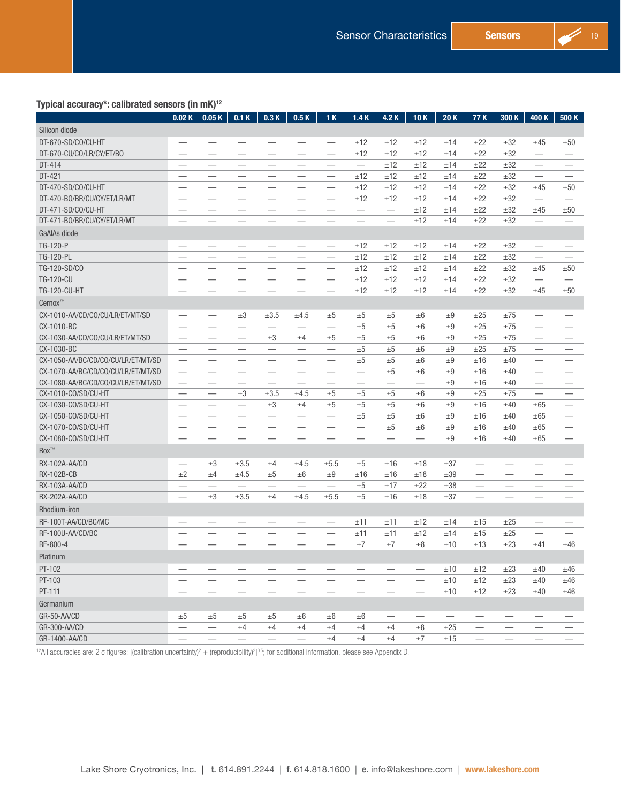#### Typical accuracy\*: calibrated sensors (in mK)12

| . .                                | 0.02K                            | 0.05K                           | 0.1K                            | 0.3K                          | 0.5K                          | 1K                               | 1.4K                          | 4.2 K                         | 10K                      | 20K                      | 77 K                                                      | 300 K                            | 400 K                            | 500 K                           |
|------------------------------------|----------------------------------|---------------------------------|---------------------------------|-------------------------------|-------------------------------|----------------------------------|-------------------------------|-------------------------------|--------------------------|--------------------------|-----------------------------------------------------------|----------------------------------|----------------------------------|---------------------------------|
| Silicon diode                      |                                  |                                 |                                 |                               |                               |                                  |                               |                               |                          |                          |                                                           |                                  |                                  |                                 |
| DT-670-SD/CO/CU-HT                 | $\overbrace{\phantom{12332}}$    |                                 | $\overbrace{\phantom{12333}}$   |                               | $\qquad \qquad -$             | $\overline{\phantom{m}}$         | ±12                           | ±12                           | ±12                      | ±14                      | ±22                                                       | ±32                              | ±45                              | ±50                             |
| DT-670-CU/CO/LR/CY/ET/BO           |                                  |                                 |                                 | $\overline{\phantom{0}}$      | $\overline{\phantom{0}}$      |                                  | ±12                           | ±12                           | ±12                      | ±14                      | ±22                                                       | ±32                              | $\overline{\phantom{m}}$         | $\overline{\phantom{0}}$        |
| DT-414                             |                                  |                                 |                                 |                               |                               |                                  | $\overline{\phantom{0}}$      | ±12                           | ±12                      | ±14                      | ±22                                                       | ±32                              |                                  | $\overline{\phantom{0}}$        |
| DT-421                             |                                  |                                 |                                 |                               |                               | $\overbrace{\phantom{12332}}$    | ±12                           | ±12                           | ±12                      | ±14                      | ±22                                                       | ±32                              | $\overline{\phantom{m}}$         | $\overbrace{\phantom{12333}}$   |
| DT-470-SD/CO/CU-HT                 |                                  | $\overline{\phantom{0}}$        |                                 | $\overline{\phantom{0}}$      | $\overline{\phantom{0}}$<br>- | $\overline{\phantom{0}}$         | ±12                           | ±12                           | ±12                      | ±14                      | ±22                                                       | ±32                              | ±45                              | ±50                             |
| DT-470-BO/BR/CU/CY/ET/LR/MT        |                                  |                                 |                                 |                               |                               |                                  | ±12                           | ±12                           | ±12                      | ±14                      | ±22                                                       | ±32                              |                                  |                                 |
| DT-471-SD/CO/CU-HT                 | $\overbrace{\phantom{12322111}}$ |                                 | $\overbrace{\phantom{12333}}$   | $\overbrace{\phantom{12333}}$ | $\overline{\phantom{0}}$      |                                  |                               |                               | ±12                      | ±14                      | ±22                                                       | ±32                              | $\overline{\phantom{m}}$         | ±50                             |
| DT-471-BO/BR/CU/CY/ET/LR/MT        | $\hspace{0.1mm}-\hspace{0.1mm}$  | $\qquad \qquad -$               | $\qquad \qquad -$               | $\qquad \qquad -$             | $\overline{\phantom{0}}$      | $\qquad \qquad -$                | $\overbrace{\phantom{12333}}$ | $\overline{\phantom{m}}$      |                          |                          | ±22                                                       |                                  | ±45                              |                                 |
|                                    |                                  | $\hspace{0.1mm}-\hspace{0.1mm}$ |                                 |                               | $\overline{\phantom{0}}$      |                                  |                               | $\overline{\phantom{m}}$      | ±12                      | ±14                      |                                                           | ±32                              | $\overbrace{\phantom{12322111}}$ |                                 |
| GaAlAs diode                       |                                  |                                 |                                 |                               |                               |                                  |                               |                               |                          |                          |                                                           |                                  |                                  |                                 |
| TG-120-P                           | $\hspace{0.1mm}-\hspace{0.1mm}$  | $\hspace{0.1mm}-\hspace{0.1mm}$ | $\qquad \qquad \longleftarrow$  | $\overline{\phantom{m}}$      |                               | $\qquad \qquad -$                | ±12                           | ±12                           | ±12                      | ±14                      | ±22                                                       | ±32                              | $\overline{\phantom{m}}$         | $\qquad \qquad -$               |
| TG-120-PL                          | $\qquad \qquad -$                | $\qquad \qquad -$               | $\qquad \qquad -$               |                               | $\overline{\phantom{0}}$      | $\qquad \qquad -$                | ±12                           | ±12                           | ±12                      | ±14                      | ±22                                                       | ±32                              | $\overline{\phantom{m}}$         |                                 |
| TG-120-SD/CO                       |                                  |                                 |                                 |                               | $\overline{\phantom{0}}$      | $\overbrace{\phantom{12322111}}$ | ±12                           | ±12                           | ±12                      | ±14                      | ±22                                                       | ±32                              | ±45                              | ±50                             |
| <b>TG-120-CU</b>                   |                                  | $\overline{\phantom{m}}$        | $\qquad \qquad$                 | $\qquad \qquad$               | —                             | $\qquad \qquad$                  | ±12                           | ±12                           | ±12                      | ±14                      | ±22                                                       | ±32                              | $\overbrace{\phantom{12322111}}$ |                                 |
| <b>TG-120-CU-HT</b>                |                                  |                                 | $\overbrace{\phantom{12333}}$   | $\overbrace{\qquad \qquad }$  | $\overline{\phantom{0}}$      | $\overbrace{\phantom{12332}}$    | ±12                           | ±12                           | ±12                      | ±14                      | ±22                                                       | ±32                              | ±45                              | ±50                             |
| Cernox™                            |                                  |                                 |                                 |                               |                               |                                  |                               |                               |                          |                          |                                                           |                                  |                                  |                                 |
| CX-1010-AA/CD/CO/CU/LR/ET/MT/SD    | $\hspace{0.1mm}-\hspace{0.1mm}$  |                                 | $\pm 3$                         | $\pm 3.5$                     | ±4.5                          | ±5                               | ±5                            | ±5                            | ±6                       | ±9                       | ±25                                                       | ±75                              | $\hspace{0.1mm}-\hspace{0.1mm}$  |                                 |
| CX-1010-BC                         | $\overbrace{\phantom{12322111}}$ |                                 |                                 |                               |                               |                                  | ±5                            | ±5                            | ±6                       | $\pm 9$                  | ±25                                                       | ±75                              | $\overline{\phantom{0}}$         |                                 |
| CX-1030-AA/CD/CO/CU/LR/ET/MT/SD    |                                  |                                 |                                 | $\pm 3$                       | ±4                            | ±5                               | ±5                            | ±5                            | ±6                       | ±9                       | ±25                                                       | ±75                              | $\overbrace{\phantom{12333}}$    | $\overline{\phantom{0}}$        |
| CX-1030-BC                         | $\hspace{0.05cm}$                |                                 | $\overbrace{\phantom{1232211}}$ |                               |                               |                                  | ±5                            | ±5                            | ±6                       | ±9                       | ±25                                                       | ±75                              | $\overline{\phantom{m}}$         | $\overline{\phantom{0}}$        |
| CX-1050-AA/BC/CD/CO/CU/LR/ET/MT/SD | $\qquad \qquad -$                |                                 | $\overbrace{\phantom{12333}}$   |                               | $\overline{\phantom{0}}$      | $\qquad \qquad -$                | ±5                            | ±5                            | ±6                       | ±9                       | ±16                                                       | ±40                              | $\qquad \qquad -$                | $\qquad \qquad -$               |
| CX-1070-AA/BC/CD/CO/CU/LR/ET/MT/SD | $\overbrace{\phantom{12332}}$    | $\overline{\phantom{0}}$        | —                               | —                             |                               |                                  |                               | ±5                            | ±6                       | ±9                       | ±16                                                       | ±40                              |                                  | $\overline{\phantom{0}}$        |
| CX-1080-AA/BC/CD/CO/CU/LR/ET/MT/SD | $\qquad \qquad$                  |                                 |                                 | $\overbrace{\phantom{aaaaa}}$ |                               |                                  |                               | $\overbrace{\phantom{12333}}$ |                          | $\pm 9$                  | ±16                                                       | ±40                              | $\overbrace{\phantom{12332}}$    | $\qquad \qquad \longleftarrow$  |
| CX-1010-CO/SD/CU-HT                | $\overbrace{\phantom{12333}}$    |                                 | $\pm 3$                         | $\pm 3.5$                     | ±4.5                          | ±5                               | ±5                            | ±5                            | ±6                       | ±9                       | ±25                                                       | ±75                              | $\overbrace{\phantom{12322111}}$ | $\qquad \qquad -$               |
| CX-1030-CO/SD/CU-HT                |                                  | $\hspace{0.1mm}-\hspace{0.1mm}$ |                                 | $\pm 3$                       | ±4                            | $\pm 5$                          | $\pm 5$                       | ±5                            | ±6                       | $\pm 9$                  | ±16                                                       | $\pm 40$                         | $\pm 65$                         | $\overline{\phantom{0}}$        |
| CX-1050-CO/SD/CU-HT                | $\overline{\phantom{0}}$         | $\hspace{0.1mm}-\hspace{0.1mm}$ | $\overline{\phantom{m}}$        | $\overline{\phantom{m}}$      | $\overbrace{\phantom{12333}}$ |                                  | ±5                            | ±5                            | ±6                       | ±9                       | ±16                                                       | ±40                              | ±65                              | $\qquad \qquad -$               |
| CX-1070-CO/SD/CU-HT                | $\overbrace{\phantom{13333}}$    | $\overline{\phantom{0}}$        | $\overline{\phantom{0}}$        | $\overline{\phantom{0}}$      |                               |                                  |                               | ±5                            | ±6                       | ±9                       | ±16                                                       | ±40                              | ±65                              |                                 |
| CX-1080-CO/SD/CU-HT                |                                  |                                 |                                 |                               | $\overline{\phantom{0}}$      | $\overline{\phantom{0}}$         |                               |                               |                          | ±9                       | ±16                                                       | ±40                              | ±65                              | $\overbrace{\phantom{123321}}$  |
| $\text{Rox}^{\text{TM}}$           |                                  |                                 |                                 |                               |                               |                                  |                               |                               |                          |                          |                                                           |                                  |                                  |                                 |
| RX-102A-AA/CD                      | $\overline{\phantom{m}}$         | $\pm 3$                         | $\pm 3.5$                       | ±4                            | ±4.5                          | ±5.5                             | ±5                            | ±16                           | ±18                      | $\pm 37$                 | $\overbrace{\phantom{12333}}$                             |                                  |                                  | $\overbrace{\phantom{123331}}$  |
| <b>RX-102B-CB</b>                  | ±2                               | ±4                              | ±4.5                            | ±5                            | ±6                            | $\pm 9$                          | ±16                           | ±16                           | ±18                      | ±39                      | $\overbrace{\phantom{12333}}$                             | $\overline{\phantom{0}}$         | $\overbrace{\phantom{12332}}$    | $\overline{\phantom{0}}$        |
| RX-103A-AA/CD                      |                                  |                                 | $\overline{\phantom{0}}$        |                               | $\overline{\phantom{0}}$      | $\overline{\phantom{0}}$         | ±5                            | ±17                           | ±22                      | ±38                      |                                                           |                                  | $\hspace{0.1mm}-\hspace{0.1mm}$  | $\overbrace{\phantom{1232211}}$ |
| RX-202A-AA/CD                      |                                  | $\pm 3$                         | $\pm 3.5$                       | ±4                            | ±4.5                          | ±5.5                             | $\pm 5$                       | ±16                           | ±18                      | $\pm$ 37                 |                                                           |                                  | $\overline{\phantom{m}}$         |                                 |
| Rhodium-iron                       |                                  |                                 |                                 |                               |                               |                                  |                               |                               |                          |                          |                                                           |                                  |                                  |                                 |
| RF-100T-AA/CD/BC/MC                |                                  | —                               | —                               | —<br>—                        | $\overline{\phantom{0}}$      | $\qquad \qquad -$                | ±11                           | ±11                           | ±12                      | ±14                      | ±15                                                       | ±25                              | $\qquad \qquad -$                | —                               |
| RF-100U-AA/CD/BC                   | $\overbrace{\phantom{12333}}$    |                                 | $\qquad \qquad -$               |                               | $\overline{\phantom{0}}$      | $\overbrace{\phantom{12333}}$    | ±11                           | ±11                           | ±12                      | ±14                      | ±15                                                       | ±25                              |                                  |                                 |
| RF-800-4                           | $\overbrace{\phantom{12333}}$    |                                 | $\overbrace{\phantom{12333}}$   |                               | $\overline{\phantom{0}}$      | $\overbrace{\phantom{12333}}$    | ±7                            | ±7                            | $\pm 8$                  | ±10                      | ±13                                                       | ±23                              | ±41                              | ±46                             |
| Platinum                           |                                  |                                 |                                 |                               |                               |                                  |                               |                               |                          |                          |                                                           |                                  |                                  |                                 |
| PT-102                             |                                  |                                 |                                 |                               | –                             |                                  |                               |                               |                          | ±10                      | ±12                                                       | ±23                              | ±40                              | ±46                             |
| PT-103                             | $\qquad \qquad$                  |                                 | —                               | $\overline{\phantom{0}}$      | —                             | $\overline{\phantom{0}}$         | —                             | $\qquad \qquad -$             | $\overline{\phantom{0}}$ | ±10                      | ±12                                                       | ±23                              | ±40                              | ±46                             |
| PT-111                             |                                  | -                               | $\overbrace{\phantom{12333}}$   |                               |                               |                                  |                               | $\qquad \qquad$               | -                        | ±10                      | ±12                                                       | ±23                              | ±40                              | ±46                             |
| Germanium                          |                                  |                                 |                                 |                               |                               |                                  |                               |                               |                          |                          |                                                           |                                  |                                  |                                 |
| GR-50-AA/CD                        |                                  |                                 |                                 |                               |                               |                                  |                               |                               |                          |                          |                                                           |                                  |                                  |                                 |
| GR-300-AA/CD                       | ±5                               | ±5                              | ±5<br>±4                        | ±5<br>±4                      | ±6<br>±4                      | ±6<br>±4                         | ±6                            | $\overline{\phantom{m}}$      | $\overline{\phantom{m}}$ | $\overline{\phantom{m}}$ | $\overline{\phantom{m}}$<br>$\overbrace{\phantom{12333}}$ | $\qquad \qquad -$                | $\overline{\phantom{m}}$         | —                               |
| GR-1400-AA/CD                      | $\overline{\phantom{0}}$         | $\overline{\phantom{m}}$        | $\overline{\phantom{0}}$        |                               |                               | ±4                               | ±4<br>±4                      | ±4<br>±4                      | $\pm 8$<br>$\pm 7$       | $\pm 25$<br>±15          |                                                           | $\overbrace{\phantom{12322111}}$ |                                  |                                 |
|                                    |                                  |                                 |                                 |                               |                               |                                  |                               |                               |                          |                          | $\overline{\phantom{m}}$                                  |                                  |                                  |                                 |

<sup>12</sup>All accuracies are: 2 σ figures; [(calibration uncertainty)<sup>2</sup> + (reproducibility)<sup>2</sup>]<sup>0.5</sup>; for additional information, please see Appendix D.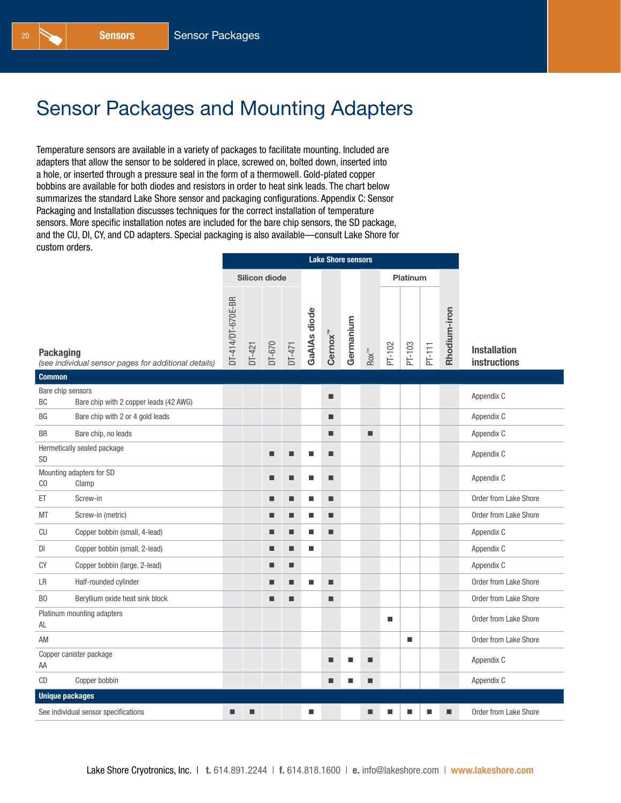## Sensor Packages and Mounting Adapters

Temperature sensors are available in a variety of packages to facilitate mounting. Included are adapters that allow the sensor to be soldered in place, screwed on, bolted down, inserted into a hole, or inserted through a pressure seal in the form of a thermowell. Gold-plated copper bobbins are available for both diodes and resistors in order to heat sink leads. The chart below summarizes the standard Lake Shore sensor and packaging configurations. Appendix C: Sensor Packaging and Installation discusses techniques for the correct installation of temperature sensors. More specific installation notes are included for the bare chip sensors, the SD package, and the CU, DI, CY, and CD adapters. Special packaging is also available—consult Lake Shore for custom orders.

|                         |                                                      | <b>Lake Shore sensors</b> |          |                      |          |              |                     |           |                          |        |          |        |              |                                            |
|-------------------------|------------------------------------------------------|---------------------------|----------|----------------------|----------|--------------|---------------------|-----------|--------------------------|--------|----------|--------|--------------|--------------------------------------------|
|                         |                                                      |                           |          | <b>Silicon diode</b> |          |              |                     |           |                          |        | Platinum |        |              |                                            |
| <b>Packaging</b>        | (see individual sensor pages for additional details) | DT-414/DT-670E-BR         | $DT-421$ | DT-670               | $DT-471$ | GaAIAs diode | Cernox <sup>™</sup> | Germanium | $\text{Row}^{\text{TM}}$ | PT-102 | PT-103   | PT-111 | Rhodium-iron | <b>Installation</b><br><b>instructions</b> |
| <b>Common</b>           |                                                      |                           |          |                      |          |              |                     |           |                          |        |          |        |              |                                            |
| Bare chip sensors<br>BC | Bare chip with 2 copper leads (42 AWG)               |                           |          |                      |          |              | ш                   |           |                          |        |          |        |              | Appendix C                                 |
| BG                      | Bare chip with 2 or 4 gold leads                     |                           |          |                      |          |              | ш                   |           |                          |        |          |        |              | Appendix C                                 |
| <b>BR</b>               | Bare chip, no leads                                  |                           |          |                      |          |              | п                   |           | ш                        |        |          |        |              | Appendix C                                 |
| SD                      | Hermetically sealed package                          |                           |          | П                    | ■        | п            | п                   |           |                          |        |          |        |              | Appendix C                                 |
| C <sub>0</sub>          | Mounting adapters for SD<br>Clamp                    |                           |          | П                    | ■        | п            | ٠                   |           |                          |        |          |        |              | Appendix C                                 |
| ET                      | Screw-in                                             |                           |          | П                    | П        | п            | п                   |           |                          |        |          |        |              | Order from Lake Shore                      |
| МT                      | Screw-in (metric)                                    |                           |          | ■                    | ■        | п            | ■                   |           |                          |        |          |        |              | Order from Lake Shore                      |
| CU                      | Copper bobbin (small, 4-lead)                        |                           |          | П                    | ■        | ш            | ш                   |           |                          |        |          |        |              | Appendix C                                 |
| DI                      | Copper bobbin (small, 2-lead)                        |                           |          | П                    | ■        | п            |                     |           |                          |        |          |        |              | Appendix C                                 |
| CY                      | Copper bobbin (large, 2-lead)                        |                           |          | П                    | П        |              |                     |           |                          |        |          |        |              | Appendix C                                 |
| LR                      | Half-rounded cylinder                                |                           |          | П                    | ш        | п            | ш                   |           |                          |        |          |        |              | Order from Lake Shore                      |
| B <sub>0</sub>          | Beryllium oxide heat sink block                      |                           |          | П                    | П        |              | ■                   |           |                          |        |          |        |              | Order from Lake Shore                      |
| AL                      | Platinum mounting adapters                           |                           |          |                      |          |              |                     |           |                          | п      |          |        |              | Order from Lake Shore                      |
| AM                      |                                                      |                           |          |                      |          |              |                     |           |                          |        | п        |        |              | Order from Lake Shore                      |
| AA                      | Copper canister package                              |                           |          |                      |          |              | П                   |           | ■                        |        |          |        |              | Appendix C                                 |
| CD                      | Copper bobbin                                        |                           |          |                      |          |              | п                   | ш         | ■                        |        |          |        |              | Appendix C                                 |
| <b>Unique packages</b>  |                                                      |                           |          |                      |          |              |                     |           |                          |        |          |        |              |                                            |
|                         | See individual sensor specifications                 | ■                         | ■        |                      |          | п            |                     |           | ■                        | ■      | ■        | ■      | п            | Order from Lake Shore                      |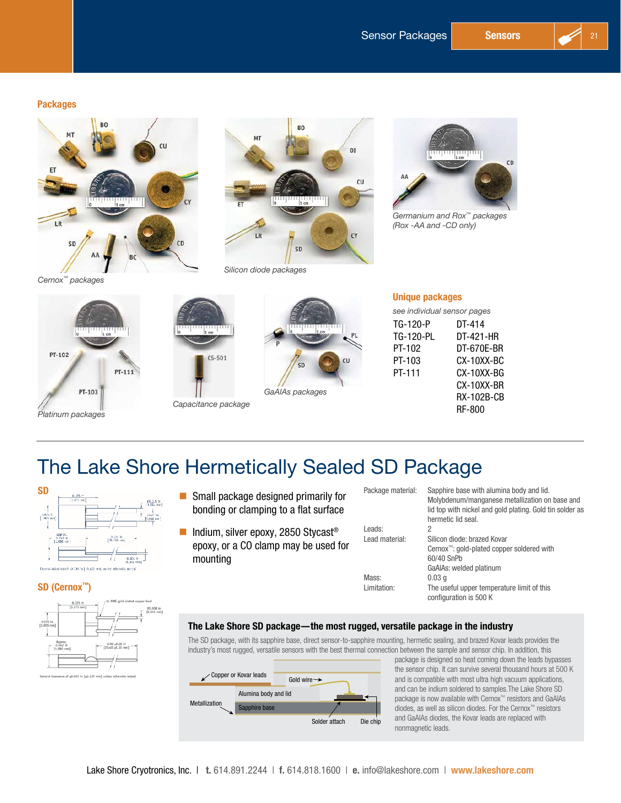#### Packages



*Cernox™ packages*





*GaAlAs packages*

*Silicon diode packages*



*Germanium and Rox™ packages (Rox -AA and -CD only)*

|     | <b>Unique packages</b><br>see individual sensor pages |          |  |  |  |  |  |  |
|-----|-------------------------------------------------------|----------|--|--|--|--|--|--|
|     |                                                       |          |  |  |  |  |  |  |
|     | TG-120-P                                              | DT-414   |  |  |  |  |  |  |
| -PL | TG-120-PL                                             | DT-421-F |  |  |  |  |  |  |

cu

PT-PT-1 PT-1

| DT-414        |
|---------------|
| DT-421-HR     |
| DT-670E-BR    |
| CX-10XX-BC    |
| CX-10XX-BG    |
| CX-10XX-BR    |
| RX-102B-CB    |
| <b>RF-800</b> |
|               |

## The Lake Shore Hermetically Sealed SD Package

*Capacitance package*

 $CS-501$ 

| Small package designed primarily for<br>bonding or clamping to a flat surface                       |
|-----------------------------------------------------------------------------------------------------|
| Indium, silver epoxy, 2850 Stycast <sup>®</sup><br>epoxy, or a CO clamp may be used for<br>mounting |
|                                                                                                     |

#### SD (Cernox™)



| Small package designed primarily for  |
|---------------------------------------|
| bonding or clamping to a flat surface |

| Package material: | Sapphire base with alumina body and lid.<br>Molybdenum/manganese metallization on base and<br>lid top with nickel and gold plating. Gold tin solder as |
|-------------------|--------------------------------------------------------------------------------------------------------------------------------------------------------|
|                   | hermetic lid seal.                                                                                                                                     |
| Leads:            | 2                                                                                                                                                      |
| Lead material:    | Silicon diode: brazed Kovar                                                                                                                            |
|                   | Cernox <sup>™</sup> : gold-plated copper soldered with                                                                                                 |
|                   | 60/40 SnPb                                                                                                                                             |
|                   | GaAIAs: welded platinum                                                                                                                                |
| Mass:             | 0.03q                                                                                                                                                  |
| Limitation:       | The useful upper temperature limit of this<br>configuration is 500 K                                                                                   |
|                   |                                                                                                                                                        |

#### The Lake Shore SD package—the most rugged, versatile package in the industry

The SD package, with its sapphire base, direct sensor-to-sapphire mounting, hermetic sealing, and brazed Kovar leads provides the industry's most rugged, versatile sensors with the best thermal connection between the sample and sensor chip. In addition, this

|               | Copper or Kovar leads                 | Gold wire $\rightarrow$ |               |          |
|---------------|---------------------------------------|-------------------------|---------------|----------|
| Metallization | Alumina body and lid<br>Sapphire base |                         |               |          |
|               |                                       |                         | Solder attach | Die chip |

package is designed so heat coming down the leads bypasses the sensor chip. It can survive several thousand hours at 500 K and is compatible with most ultra high vacuum applications, and can be indium soldered to samples.The Lake Shore SD package is now available with Cernox™ resistors and GaAlAs diodes, as well as silicon diodes. For the Cernox™ resistors and GaAlAs diodes, the Kovar leads are replaced with nonmagnetic leads.

| /32 AWG gold-plated copper lead<br>0.125 in<br>$[3.175 \text{ mm}]$<br>ı<br>×<br>0.075 in<br>$[1.905 \; mm]$ | 00.008 in<br>$[0.203$ mm] |
|--------------------------------------------------------------------------------------------------------------|---------------------------|
| Approx.<br>1.00 ±0.25 in<br>$0.042$ in<br>$[25.40 \; \text{a}6.35 \; \text{mm}]$<br>$[1.080$ mm]             |                           |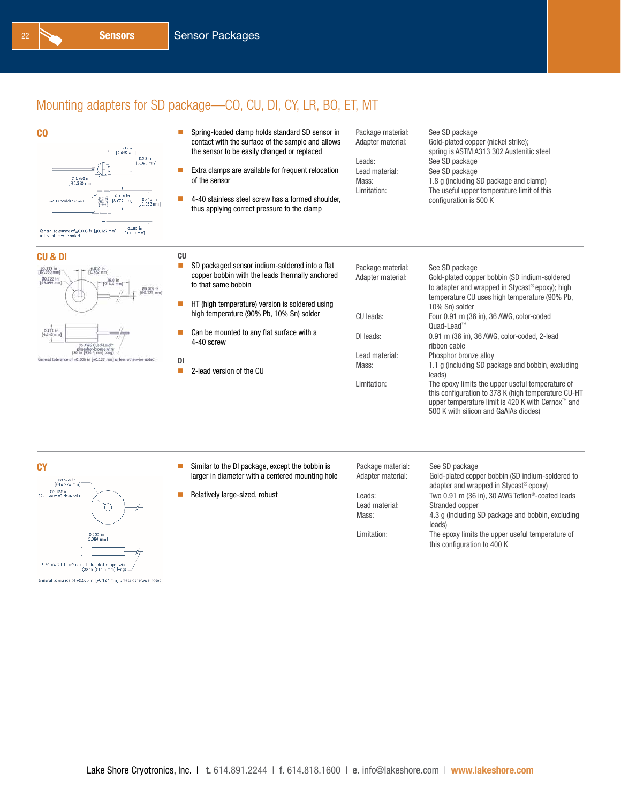## Mounting adapters for SD package—CO, CU, DI, CY, LR, BO, ET, MT





- **EXTR** Clamps are available for frequent relocation of the sensor
- 4-40 stainless steel screw has a formed shoulder, thus applying correct pressure to the clamp

Package material: See SD package

Adapter material: Gold-plated copper (nickel strike); spring is ASTM A313 302 Austenitic steel Leads: See SD package Lead material: See SD package Mass: 1.8 g (including SD package and clamp) Limitation: The useful upper temperature limit of this configuration is 500 K



| J & DI                                                                                                            | CU                         |
|-------------------------------------------------------------------------------------------------------------------|----------------------------|
| .313 in<br>950 mm)<br>$0.030~\mathrm{in}$ [0.762 mm]<br>0.122 in<br>36.0 in<br>$1.099$ mm<br>$914.4$ mm           | 00,005 in<br>$[00.127$ mm] |
| 0.171 in<br>1.343 mm)<br>36 AWG Quad-Lead"                                                                        | Ĥ                          |
| phosphor-bronze wire<br>(36 in [914,4 mm] long)<br>eral tolerance of ±0.005 in [±0.127 mm] unless otherwise noted | DI                         |

| CU |                                                                                                                          |                                        |                                                                                                                                                              |
|----|--------------------------------------------------------------------------------------------------------------------------|----------------------------------------|--------------------------------------------------------------------------------------------------------------------------------------------------------------|
| П  | SD packaged sensor indium-soldered into a flat<br>copper bobbin with the leads thermally anchored<br>to that same bobbin | Package material:<br>Adapter material: | See SD package<br>Gold-plated copper bobbin (SD indium-soldered<br>to adapter and wrapped in Stycast® epoxy); high                                           |
| ш  | HT (high temperature) version is soldered using<br>high temperature (90% Pb, 10% Sn) solder                              | CU leads:                              | temperature CU uses high temperature (90% Pb,<br>10% Sn) solder<br>Four 0.91 m (36 in), 36 AWG, color-coded                                                  |
| п  | Can be mounted to any flat surface with a<br>4-40 screw                                                                  | DI leads:                              | Ouad-Lead™<br>0.91 m (36 in), 36 AWG, color-coded, 2-lead<br>ribbon cable                                                                                    |
| DI | 2-lead version of the CU                                                                                                 | Lead material:<br>Mass:                | Phosphor bronze alloy<br>1.1 q (including SD package and bobbin, excluding<br>leads)                                                                         |
|    |                                                                                                                          | Limitation:                            | The epoxy limits the upper useful temperature of<br>this configuration to 378 K (high temperature CU-HT<br>upper temperature limit is 420 K with Cernox™ and |

- **CY** Similar to the DI package, except the bobbin is larger in diameter with a centered mounting hole
	- Relatively large-sized, robust

| Package material: | See SD package     |
|-------------------|--------------------|
| Adapter material: | Gold-plated copp   |
|                   | adapter and wra    |
| Leads:            | Two 0.91 m (36 i   |
| Lead material:    | Stranded copper    |
| Mass:             | 4.3 g (Including S |
|                   |                    |

#### Gold-plated copper bobbin (SD indium-soldered to adapter and wrapped in Stycast® epoxy) Two 0.91 m (36 in), 30 AWG Teflon®-coated leads Stranded copper 4.3 g (Including SD package and bobbin, excluding leads) Limitation: The epoxy limits the upper useful temperature of this configuration to 400 K

500 K with silicon and GaAlAs diodes)

@0.560 in<br>[@14.224 mm]  $\frac{\#0.122 \text{ in}}{22.099 \text{ mm}$ ] thru-hole m 0.200 in<br>[5.080 mm] 2-30 AWG Teflon<sup>-9</sup>-coated stranded copper wire<br>(36 in [914.4 mm] long)

General tolerance of +0.005 in [+0.127 mm] unless otherwise noted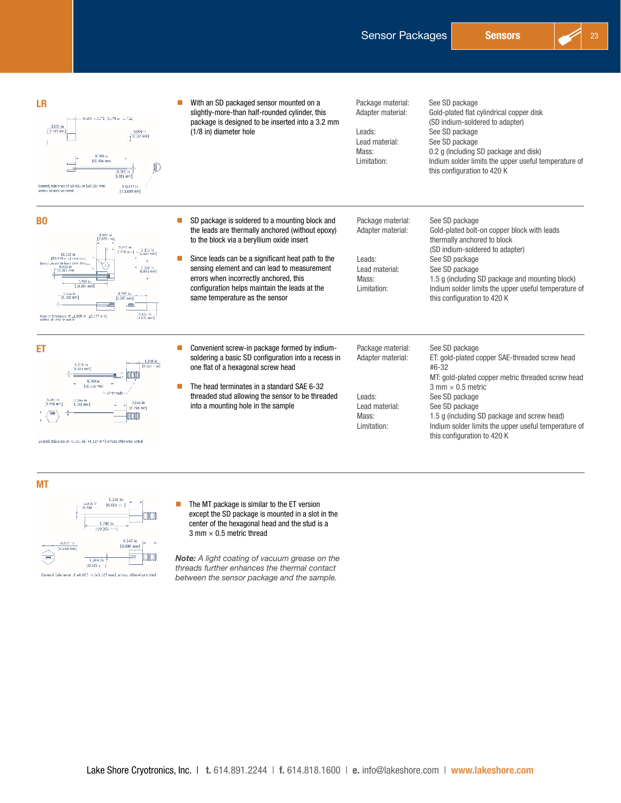

With an SD packaged sensor mounted on a Package material: See SD package<br>Adapter material: Gold-plated flat o LR slightly-more-than half-rounded cylinder, this Gold-plated flat cylindrical copper disk 0.125 in:5275 (3.175 in 12.722) package is designed to be inserted into a 3.2 mm (SD indium-soldered to adapter)  $\frac{9.105 \text{ in}}{2.661 \text{ m}}$ (1/8 in) diameter hole Leads: See SD package  $\frac{0.004 \text{ m}}{10.102 \text{ mm}}$ Lead material: See SD package Mass: 0.2 g (Including SD package and disk)<br>1. Limitation: 1. Limitation: 1. Limitation: Indium solder limits the upper useful temperature of this configuration to 420 K General tolerance of ±0.000 in [±0.127 mm] 80.122 183,099 mml **BO** SD package is soldered to a mounting block and Package material: See SD package the leads are thermally anchored (without epoxy) Adapter material: Gold-plated bolt-on copper block with leads to the block via a beryllium oxide insert thermally anchored to block (SD indium-soldered to adapter) Since leads can be a significant heat path to the Leads: See SD package<br>
Lead material: See SD package sensing element and can lead to measurement Lead material:<br>
Mass: 1.5 a (including S errors when incorrectly anchored, this 1.5 g (including SD package and mounting block)  $-2,760$  in configuration helps maintain the leads at the Limitation: Indium solder limits the upper useful temperature of  $-0.004$  in same temperature as the sensor this configuration to 420 K  $\leftarrow$ Seneral talerance of  $\pm 0.005$  in  $\pm 0.127$  mm)<br>unless otherwise united  $\frac{0.125 \text{ in}}{0.176 \text{ ms}}$ **ET** envenient screw-in package formed by indium-<br> **ET** enventient screw-in package formed by indium-<br>
Package material: See SD package soldering a basic SD configuration into a recess in Adapter material: ET: gold-plated copper SAE-threaded screw head one flat of a hexagonal screw head #6-32 **hotobbi** MT: gold-plated copper metric threaded screw head  $\frac{0.760 \text{ in}}{[19.504 \text{ mm}]}$  The head terminates in a standard SAE 6-32  $3$  mm  $\times$  0.5 metric .<br>Si 12.9 Merekatak threaded stud allowing the sensor to be threaded Leads: See SD package  $-0.004$  in 0.240 in<br>[6.096 mm] into a mounting hole in the sample Lead material: See SD package **DIDIDI** Mass: 1.5 g (including SD package and screw head) Limitation: Indium solder limits the upper useful temperature of this configuration to 420 K Seneral talerance of +0.005 in [+8.127 mm] unless otherwise noted

MT



 The MT package is similar to the ET version except the SD package is mounted in a slot in the center of the hexagonal head and the stud is a  $3$  mm  $\times$  0.5 metric thread

*Note: A light coating of vacuum grease on the threads further enhances the thermal contact between the sensor package and the sample.*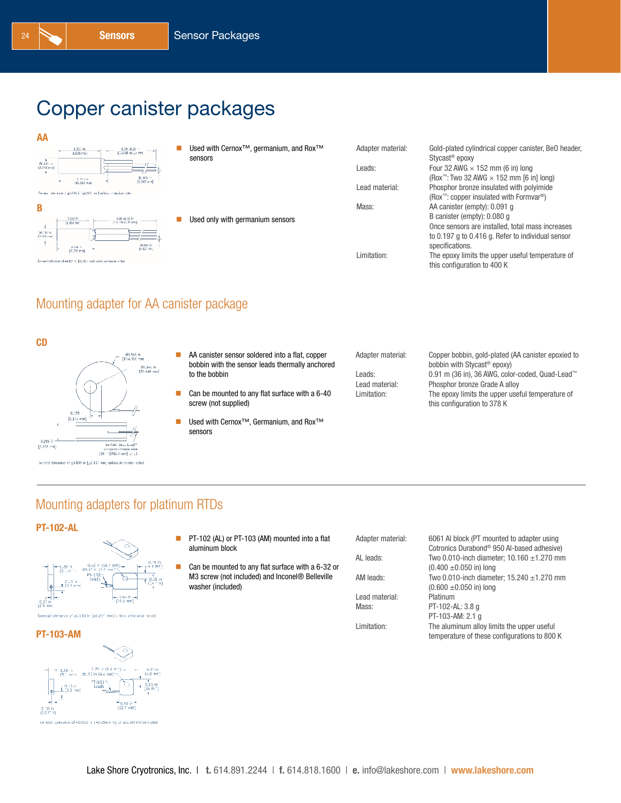# Copper canister packages

| AA                                                                               |                                                                            |                   |                                                                                                         |
|----------------------------------------------------------------------------------|----------------------------------------------------------------------------|-------------------|---------------------------------------------------------------------------------------------------------|
| 0.333 th<br>$6.00 - 0.25$<br>[112.40 ±6.15 mm]<br>8.509 mm                       | Used with Cernox <sup>™</sup> , germanium, and Rox <sup>™</sup><br>sensors | Adapter material: | Gold-plated cylindrical copper canister, BeO header,<br>Stycast <sup>®</sup> epoxy                      |
| OC.125 in<br>$\rightarrow$<br>13.345 mm<br>__<br>__                              |                                                                            | Leads:            | Four 32 AWG $\times$ 152 mm (6 in) long                                                                 |
| 00.00811<br>to the in-<br>$[0.203 \text{ m} \text{ m}]$<br>[10.332 mm]           |                                                                            | Lead material:    | (Rox <sup>™</sup> : Two 32 AWG $\times$ 152 mm [6 in] long)<br>Phosphor bronze insulated with polyimide |
| Census, pheatron of \$5,006 in [\$0,127 mil] tribes of provise rates.            |                                                                            |                   | (Rox <sup>76</sup> : copper insulated with Formvar <sup>®</sup> )                                       |
| B                                                                                |                                                                            | Mass:             | AA canister (empty): 0.091 q                                                                            |
| 0.243 15<br>5.00 10.35 fr<br>$[137, 40 + 5, 15, \text{mm}]$<br>10.006 mm         | Used only with germanium sensors                                           |                   | B canister (empty): 0.080 q<br>Once sensors are installed, total mass increases                         |
| 30.056 ln<br>[2.251 mm]<br><b>COMM</b> is<br>0.285 in<br>10.127 mm<br>17.236 mml |                                                                            |                   | to 0.197 g to 0.416 g. Refer to individual sensor<br>specifications.                                    |
| General television of AURO in B-0.127 and universities development               |                                                                            | Limitation:       | The epoxy limits the upper useful temperature of<br>this configuration to 400 K                         |
|                                                                                  |                                                                            |                   |                                                                                                         |

### Mounting adapter for AA canister package





- **AA** canister sensor soldered into a flat, copper bobbin with the sensor leads thermally anchored to the bobbin
- Can be mounted to any flat surface with a 6-40 screw (not supplied)
- Used with Cernox<sup>™</sup>, Germanium, and Rox<sup>™</sup> sensors

| Adapter material: | Copper bobbin, gold-plated (AA canister epoxied to |
|-------------------|----------------------------------------------------|
|                   | bobbin with Stycast <sup>®</sup> epoxy)            |
| Leads:            | 0.91 m (36 in), 36 AWG, color-coded, Quad-Lead™    |
| Lead material:    | Phosphor bronze Grade A alloy                      |
| Limitation:       | The epoxy limits the upper useful temperature of   |
|                   | this configuration to 378 K                        |

### Mounting adapters for platinum RTDs

#### PT-102-AL



#### PT-103-AM



- PT-102 (AL) or PT-103 (AM) mounted into a flat aluminum block
- Can be mounted to any flat surface with a 6-32 or M3 screw (not included) and Inconel® Belleville washer (included)

| Adapter material: | 6061 Al block (PT mounted to adapter using             |
|-------------------|--------------------------------------------------------|
|                   | Cotronics Durabond <sup>®</sup> 950 Al-based adhesive) |
| AL leads:         | Two 0.010-inch diameter; $10.160 \pm 1.270$ mm         |
|                   | $(0.400 \pm 0.050)$ in) long                           |
| AM leads:         | Two 0.010-inch diameter; $15.240 \pm 1.270$ mm         |
|                   | $(0.600 \pm 0.050)$ in) long                           |
| Lead material:    | Platinum                                               |
| Mass:             | PT-102-AL: 3.8 g                                       |
|                   | PT-103-AM: 2.1 a                                       |
| Limitation:       | The aluminum alloy limits the upper useful             |
|                   | temperature of these configurations to 800 K           |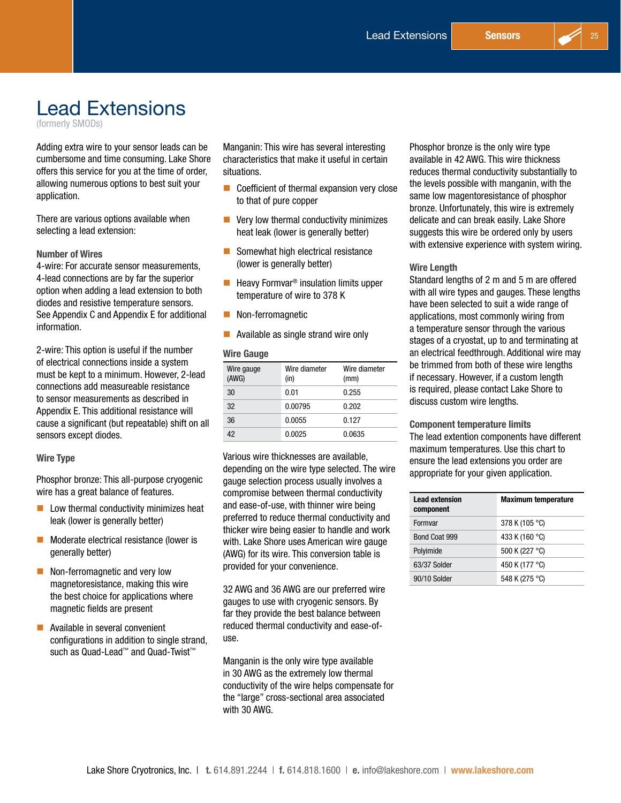# Lead Extensions

(formerly SMODs)

Adding extra wire to your sensor leads can be cumbersome and time consuming. Lake Shore offers this service for you at the time of order, allowing numerous options to best suit your application.

There are various options available when selecting a lead extension:

### Number of Wires

4-wire: For accurate sensor measurements, 4-lead connections are by far the superior option when adding a lead extension to both diodes and resistive temperature sensors. See Appendix C and Appendix E for additional information.

2-wire: This option is useful if the number of electrical connections inside a system must be kept to a minimum. However, 2-lead connections add measureable resistance to sensor measurements as described in Appendix E. This additional resistance will cause a significant (but repeatable) shift on all sensors except diodes.

#### Wire Type

Phosphor bronze: This all-purpose cryogenic wire has a great balance of features.

- $\blacksquare$  Low thermal conductivity minimizes heat leak (lower is generally better)
- **Moderate electrical resistance (lower is** generally better)
- Non-ferromagnetic and very low magnetoresistance, making this wire the best choice for applications where magnetic fields are present
- **Available in several convenient** configurations in addition to single strand, such as Quad-Lead™ and Quad-Twist™

Manganin: This wire has several interesting characteristics that make it useful in certain situations.

- Coefficient of thermal expansion very close to that of pure copper
- $\blacksquare$  Very low thermal conductivity minimizes heat leak (lower is generally better)
- Somewhat high electrical resistance (lower is generally better)
- $\blacksquare$  Heavy Formvar<sup>®</sup> insulation limits upper temperature of wire to 378 K
- **Non-ferromagnetic**
- **Available as single strand wire only**

### Wire Gauge

| Wire gauge<br>(AWG) | Wire diameter<br>(in) | Wire diameter<br>(mm) |
|---------------------|-----------------------|-----------------------|
| 30                  | 0.01                  | 0.255                 |
| 32                  | 0.00795               | 0.202                 |
| 36                  | 0.0055                | 0.127                 |
| 42                  | 0.0025                | 0.0635                |

Various wire thicknesses are available, depending on the wire type selected. The wire gauge selection process usually involves a compromise between thermal conductivity and ease-of-use, with thinner wire being preferred to reduce thermal conductivity and thicker wire being easier to handle and work with. Lake Shore uses American wire gauge (AWG) for its wire. This conversion table is provided for your convenience.

32 AWG and 36 AWG are our preferred wire gauges to use with cryogenic sensors. By far they provide the best balance between reduced thermal conductivity and ease-ofuse.

Manganin is the only wire type available in 30 AWG as the extremely low thermal conductivity of the wire helps compensate for the "large" cross-sectional area associated with 30 AWG.

Phosphor bronze is the only wire type available in 42 AWG. This wire thickness reduces thermal conductivity substantially to the levels possible with manganin, with the same low magentoresistance of phosphor bronze. Unfortunately, this wire is extremely delicate and can break easily. Lake Shore suggests this wire be ordered only by users with extensive experience with system wiring.

#### Wire Length

Standard lengths of 2 m and 5 m are offered with all wire types and gauges. These lengths have been selected to suit a wide range of applications, most commonly wiring from a temperature sensor through the various stages of a cryostat, up to and terminating at an electrical feedthrough. Additional wire may be trimmed from both of these wire lengths if necessary. However, if a custom length is required, please contact Lake Shore to discuss custom wire lengths.

Component temperature limits The lead extention components have different maximum temperatures. Use this chart to ensure the lead extensions you order are appropriate for your given application.

| <b>Lead extension</b><br>component | <b>Maximum temperature</b> |
|------------------------------------|----------------------------|
| Formvar                            | 378 K (105 °C)             |
| Bond Coat 999                      | 433 K (160 °C)             |
| Polyimide                          | 500 K (227 °C)             |
| 63/37 Solder                       | 450 K (177 °C)             |
| 90/10 Solder                       | 548 K (275 °C)             |